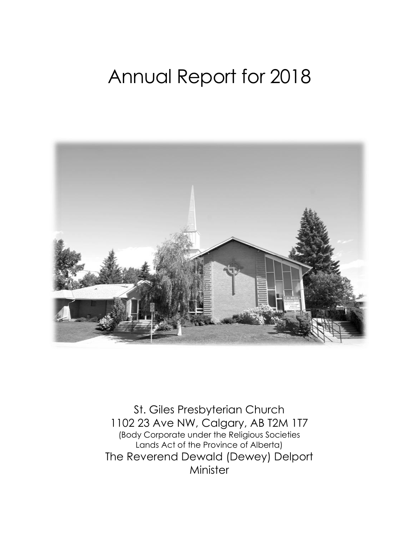# Annual Report for 2018



St. Giles Presbyterian Church 1102 23 Ave NW, Calgary, AB T2M 1T7 (Body Corporate under the Religious Societies Lands Act of the Province of Alberta) The Reverend Dewald (Dewey) Delport Minister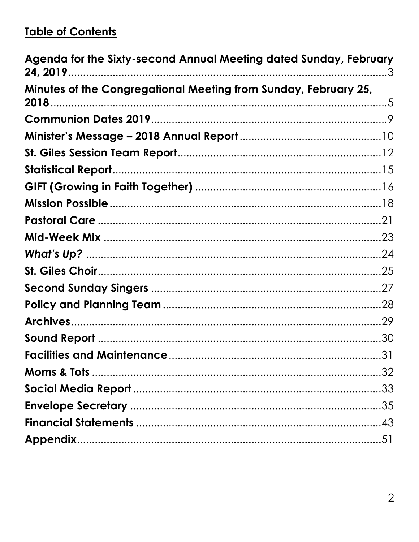#### **Table of Contents**

| Agenda for the Sixty-second Annual Meeting dated Sunday, February |  |
|-------------------------------------------------------------------|--|
| Minutes of the Congregational Meeting from Sunday, February 25,   |  |
|                                                                   |  |
|                                                                   |  |
|                                                                   |  |
|                                                                   |  |
|                                                                   |  |
|                                                                   |  |
|                                                                   |  |
|                                                                   |  |
|                                                                   |  |
|                                                                   |  |
|                                                                   |  |
|                                                                   |  |
|                                                                   |  |
|                                                                   |  |
|                                                                   |  |
|                                                                   |  |
|                                                                   |  |
|                                                                   |  |
|                                                                   |  |
|                                                                   |  |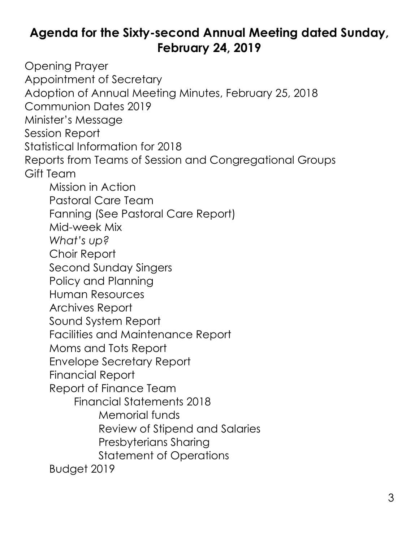### <span id="page-2-0"></span>**Agenda for the Sixty-second Annual Meeting dated Sunday, February 24, 2019**

Opening Prayer Appointment of Secretary Adoption of Annual Meeting Minutes, February 25, 2018 Communion Dates 2019 Minister's Message Session Report Statistical Information for 2018 Reports from Teams of Session and Congregational Groups Gift Team Mission in Action Pastoral Care Team Fanning (See Pastoral Care Report) Mid-week Mix *What's up?* Choir Report Second Sunday Singers Policy and Planning Human Resources Archives Report Sound System Report Facilities and Maintenance Report Moms and Tots Report Envelope Secretary Report Financial Report Report of Finance Team Financial Statements 2018 Memorial funds Review of Stipend and Salaries Presbyterians Sharing Statement of Operations Budget 2019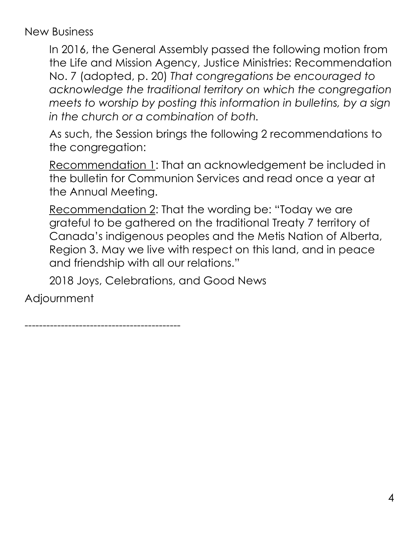New Business

In 2016, the General Assembly passed the following motion from the Life and Mission Agency, Justice Ministries: Recommendation No. 7 (adopted, p. 20) *That congregations be encouraged to acknowledge the traditional territory on which the congregation meets to worship by posting this information in bulletins, by a sign in the church or a combination of both.*

As such, the Session brings the following 2 recommendations to the congregation:

Recommendation 1: That an acknowledgement be included in the bulletin for Communion Services and read once a year at the Annual Meeting.

Recommendation 2: That the wording be: "Today we are grateful to be gathered on the traditional Treaty 7 territory of Canada's indigenous peoples and the Metis Nation of Alberta, Region 3. May we live with respect on this land, and in peace and friendship with all our relations."

2018 Joys, Celebrations, and Good News

Adjournment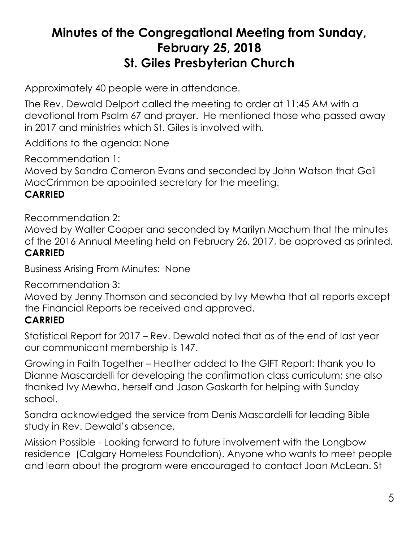#### <span id="page-4-0"></span>**Minutes of the Congregational Meeting from Sunday, February 25, 2018 St. Giles Presbyterian Church**

Approximately 40 people were in attendance.

The Rev. Dewald Delport called the meeting to order at 11:45 AM with a devotional from Psalm 67 and prayer. He mentioned those who passed away in 2017 and ministries which St. Giles is involved with.

Additions to the agenda: None

Recommendation 1:

Moved by Sandra Cameron Evans and seconded by John Watson that Gail MacCrimmon be appointed secretary for the meeting.

#### **CARRIED**

Recommendation 2:

Moved by Walter Cooper and seconded by Marilyn Machum that the minutes of the 2016 Annual Meeting held on February 26, 2017, be approved as printed. **CARRIED**

Business Arising From Minutes: None

Recommendation 3:

Moved by Jenny Thomson and seconded by Ivy Mewha that all reports except the Financial Reports be received and approved.

#### **CARRIED**

Statistical Report for 2017 – Rev. Dewald noted that as of the end of last year our communicant membership is 147.

Growing in Faith Together – Heather added to the GIFT Report: thank you to Dianne Mascardelli for developing the confirmation class curriculum; she also thanked Ivy Mewha, herself and Jason Gaskarth for helping with Sunday school.

Sandra acknowledged the service from Denis Mascardelli for leading Bible study in Rev. Dewald's absence.

Mission Possible - Looking forward to future involvement with the Longbow residence (Calgary Homeless Foundation). Anyone who wants to meet people and learn about the program were encouraged to contact Joan McLean. St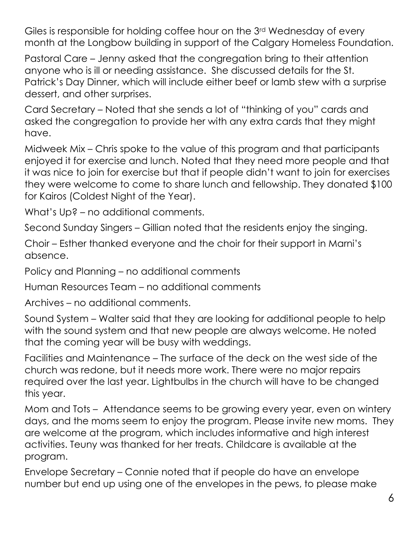Giles is responsible for holding coffee hour on the 3rd Wednesday of every month at the Longbow building in support of the Calgary Homeless Foundation.

Pastoral Care – Jenny asked that the congregation bring to their attention anyone who is ill or needing assistance. She discussed details for the St. Patrick's Day Dinner, which will include either beef or lamb stew with a surprise dessert, and other surprises.

Card Secretary – Noted that she sends a lot of "thinking of you" cards and asked the congregation to provide her with any extra cards that they might have.

Midweek Mix – Chris spoke to the value of this program and that participants enjoyed it for exercise and lunch. Noted that they need more people and that it was nice to join for exercise but that if people didn't want to join for exercises they were welcome to come to share lunch and fellowship. They donated \$100 for Kairos (Coldest Night of the Year).

What's Up? – no additional comments.

Second Sunday Singers – Gillian noted that the residents enjoy the singing.

Choir – Esther thanked everyone and the choir for their support in Marni's absence.

Policy and Planning – no additional comments

Human Resources Team – no additional comments

Archives – no additional comments.

Sound System – Walter said that they are looking for additional people to help with the sound system and that new people are always welcome. He noted that the coming year will be busy with weddings.

Facilities and Maintenance – The surface of the deck on the west side of the church was redone, but it needs more work. There were no major repairs required over the last year. Lightbulbs in the church will have to be changed this year.

Mom and Tots – Attendance seems to be growing every year, even on wintery days, and the moms seem to enjoy the program. Please invite new moms. They are welcome at the program, which includes informative and high interest activities. Teuny was thanked for her treats. Childcare is available at the program.

Envelope Secretary – Connie noted that if people do have an envelope number but end up using one of the envelopes in the pews, to please make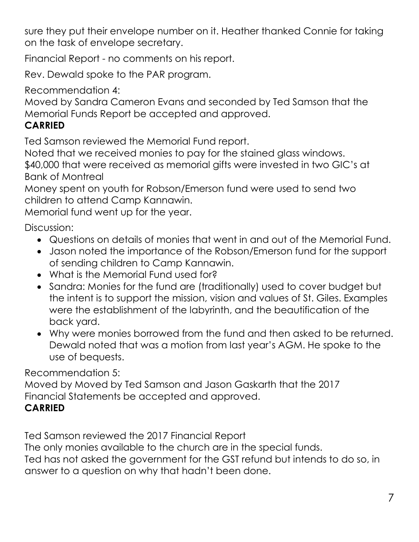sure they put their envelope number on it. Heather thanked Connie for taking on the task of envelope secretary.

Financial Report - no comments on his report.

Rev. Dewald spoke to the PAR program.

Recommendation 4:

Moved by Sandra Cameron Evans and seconded by Ted Samson that the Memorial Funds Report be accepted and approved.

#### **CARRIED**

Ted Samson reviewed the Memorial Fund report.

Noted that we received monies to pay for the stained glass windows. \$40,000 that were received as memorial gifts were invested in two GIC's at

Bank of Montreal

Money spent on youth for Robson/Emerson fund were used to send two children to attend Camp Kannawin.

Memorial fund went up for the year.

Discussion:

- Questions on details of monies that went in and out of the Memorial Fund.
- Jason noted the importance of the Robson/Emerson fund for the support of sending children to Camp Kannawin.
- What is the Memorial Fund used for?
- Sandra: Monies for the fund are (traditionally) used to cover budget but the intent is to support the mission, vision and values of St. Giles. Examples were the establishment of the labyrinth, and the beautification of the back yard.
- Why were monies borrowed from the fund and then asked to be returned. Dewald noted that was a motion from last year's AGM. He spoke to the use of bequests.

Recommendation 5:

Moved by Moved by Ted Samson and Jason Gaskarth that the 2017 Financial Statements be accepted and approved. **CARRIED**

Ted Samson reviewed the 2017 Financial Report

The only monies available to the church are in the special funds.

Ted has not asked the government for the GST refund but intends to do so, in answer to a question on why that hadn't been done.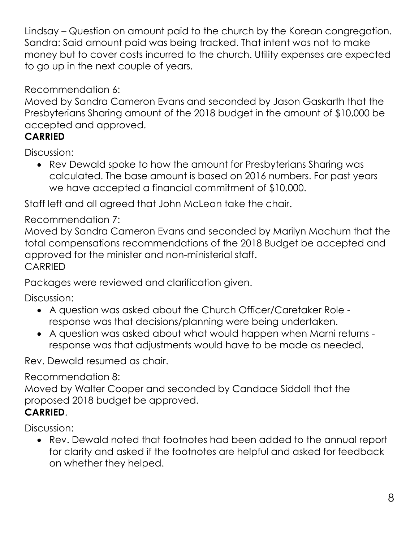Lindsay – Question on amount paid to the church by the Korean congregation. Sandra: Said amount paid was being tracked. That intent was not to make money but to cover costs incurred to the church. Utility expenses are expected to go up in the next couple of years.

Recommendation 6:

Moved by Sandra Cameron Evans and seconded by Jason Gaskarth that the Presbyterians Sharing amount of the 2018 budget in the amount of \$10,000 be accepted and approved.

#### **CARRIED**

Discussion:

 Rev Dewald spoke to how the amount for Presbyterians Sharing was calculated. The base amount is based on 2016 numbers. For past years we have accepted a financial commitment of \$10,000.

Staff left and all agreed that John McLean take the chair.

Recommendation 7:

Moved by Sandra Cameron Evans and seconded by Marilyn Machum that the total compensations recommendations of the 2018 Budget be accepted and approved for the minister and non-ministerial staff. **CARRIED** 

Packages were reviewed and clarification given.

Discussion:

- A question was asked about the Church Officer/Caretaker Role response was that decisions/planning were being undertaken.
- A question was asked about what would happen when Marni returns response was that adjustments would have to be made as needed.

Rev. Dewald resumed as chair.

Recommendation 8:

Moved by Walter Cooper and seconded by Candace Siddall that the proposed 2018 budget be approved.

#### **CARRIED**.

Discussion:

 Rev. Dewald noted that footnotes had been added to the annual report for clarity and asked if the footnotes are helpful and asked for feedback on whether they helped.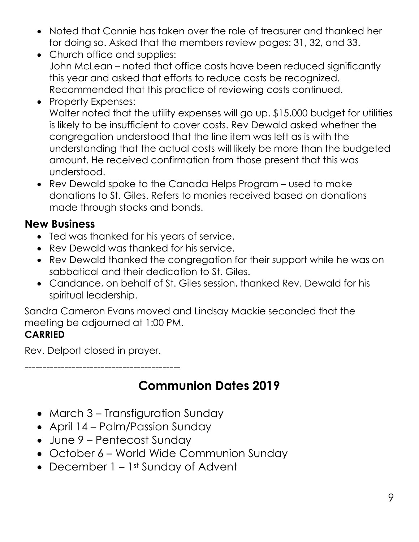- Noted that Connie has taken over the role of treasurer and thanked her for doing so. Asked that the members review pages: 31, 32, and 33.
- Church office and supplies: John McLean – noted that office costs have been reduced significantly this year and asked that efforts to reduce costs be recognized. Recommended that this practice of reviewing costs continued.
- Property Expenses: Walter noted that the utility expenses will go up. \$15,000 budget for utilities is likely to be insufficient to cover costs. Rev Dewald asked whether the congregation understood that the line item was left as is with the understanding that the actual costs will likely be more than the budgeted amount. He received confirmation from those present that this was understood.
- Rev Dewald spoke to the Canada Helps Program used to make donations to St. Giles. Refers to monies received based on donations made through stocks and bonds.

#### **New Business**

- Ted was thanked for his years of service.
- Rev Dewald was thanked for his service.
- Rev Dewald thanked the congregation for their support while he was on sabbatical and their dedication to St. Giles.
- Candance, on behalf of St. Giles session, thanked Rev. Dewald for his spiritual leadership.

Sandra Cameron Evans moved and Lindsay Mackie seconded that the meeting be adjourned at 1:00 PM.

#### **CARRIED**

Rev. Delport closed in prayer.

<span id="page-8-0"></span>-------------------------------------------

### **Communion Dates 2019**

- March 3 Transfiguration Sunday
- April 14 Palm/Passion Sunday
- June 9 Pentecost Sunday
- October 6 World Wide Communion Sunday
- December  $1 1$ <sup>st</sup> Sunday of Advent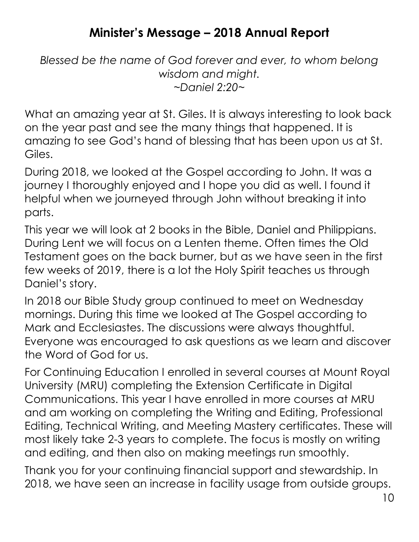#### **Minister's Message – 2018 Annual Report**

<span id="page-9-0"></span>*Blessed be the name of God forever and ever, to whom belong wisdom and might. ~Daniel 2:20~*

What an amazing year at St. Giles. It is always interesting to look back on the year past and see the many things that happened. It is amazing to see God's hand of blessing that has been upon us at St. Giles.

During 2018, we looked at the Gospel according to John. It was a journey I thoroughly enjoyed and I hope you did as well. I found it helpful when we journeyed through John without breaking it into parts.

This year we will look at 2 books in the Bible, Daniel and Philippians. During Lent we will focus on a Lenten theme. Often times the Old Testament goes on the back burner, but as we have seen in the first few weeks of 2019, there is a lot the Holy Spirit teaches us through Daniel's story.

In 2018 our Bible Study group continued to meet on Wednesday mornings. During this time we looked at The Gospel according to Mark and Ecclesiastes. The discussions were always thoughtful. Everyone was encouraged to ask questions as we learn and discover the Word of God for us.

For Continuing Education I enrolled in several courses at Mount Royal University (MRU) completing the Extension Certificate in Digital Communications. This year I have enrolled in more courses at MRU and am working on completing the Writing and Editing, Professional Editing, Technical Writing, and Meeting Mastery certificates. These will most likely take 2-3 years to complete. The focus is mostly on writing and editing, and then also on making meetings run smoothly.

Thank you for your continuing financial support and stewardship. In 2018, we have seen an increase in facility usage from outside groups.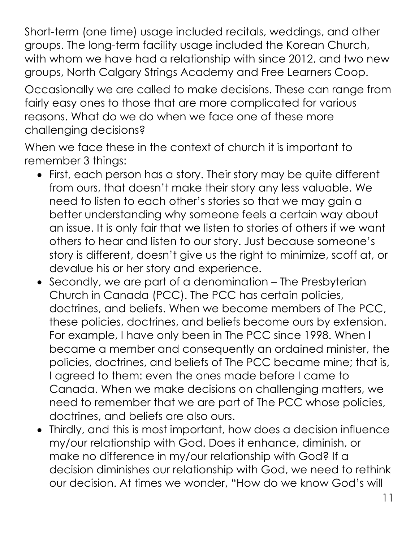Short-term (one time) usage included recitals, weddings, and other groups. The long-term facility usage included the Korean Church, with whom we have had a relationship with since 2012, and two new groups, North Calgary Strings Academy and Free Learners Coop.

Occasionally we are called to make decisions. These can range from fairly easy ones to those that are more complicated for various reasons. What do we do when we face one of these more challenging decisions?

When we face these in the context of church it is important to remember 3 things:

- First, each person has a story. Their story may be quite different from ours, that doesn't make their story any less valuable. We need to listen to each other's stories so that we may gain a better understanding why someone feels a certain way about an issue. It is only fair that we listen to stories of others if we want others to hear and listen to our story. Just because someone's story is different, doesn't give us the right to minimize, scoff at, or devalue his or her story and experience.
- Secondly, we are part of a denomination The Presbyterian Church in Canada (PCC). The PCC has certain policies, doctrines, and beliefs. When we become members of The PCC, these policies, doctrines, and beliefs become ours by extension. For example, I have only been in The PCC since 1998. When I became a member and consequently an ordained minister, the policies, doctrines, and beliefs of The PCC became mine; that is, I agreed to them: even the ones made before I came to Canada. When we make decisions on challenging matters, we need to remember that we are part of The PCC whose policies, doctrines, and beliefs are also ours.
- Thirdly, and this is most important, how does a decision influence my/our relationship with God. Does it enhance, diminish, or make no difference in my/our relationship with God? If a decision diminishes our relationship with God, we need to rethink our decision. At times we wonder, "How do we know God's will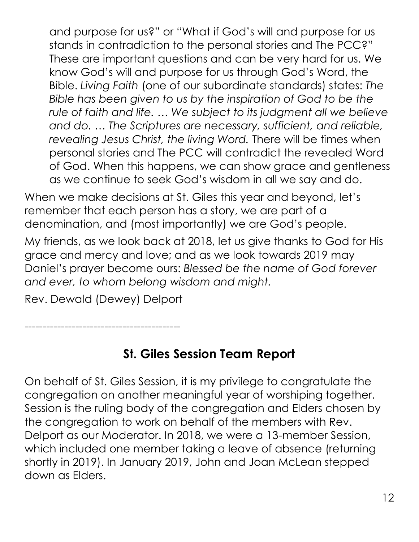and purpose for us?" or "What if God's will and purpose for us stands in contradiction to the personal stories and The PCC?" These are important questions and can be very hard for us. We know God's will and purpose for us through God's Word, the Bible. *Living Faith* (one of our subordinate standards) states: *The Bible has been given to us by the inspiration of God to be the rule of faith and life. … We subject to its judgment all we believe and do. … The Scriptures are necessary, sufficient, and reliable, revealing Jesus Christ, the living Word.* There will be times when personal stories and The PCC will contradict the revealed Word of God. When this happens, we can show grace and gentleness as we continue to seek God's wisdom in all we say and do.

When we make decisions at St. Giles this year and beyond, let's remember that each person has a story, we are part of a denomination, and (most importantly) we are God's people.

My friends, as we look back at 2018, let us give thanks to God for His grace and mercy and love; and as we look towards 2019 may Daniel's prayer become ours: *Blessed be the name of God forever and ever, to whom belong wisdom and might.*

Rev. Dewald (Dewey) Delport

-------------------------------------------

### **St. Giles Session Team Report**

<span id="page-11-0"></span>On behalf of St. Giles Session, it is my privilege to congratulate the congregation on another meaningful year of worshiping together. Session is the ruling body of the congregation and Elders chosen by the congregation to work on behalf of the members with Rev. Delport as our Moderator. In 2018, we were a 13-member Session, which included one member taking a leave of absence (returning shortly in 2019). In January 2019, John and Joan McLean stepped down as Elders.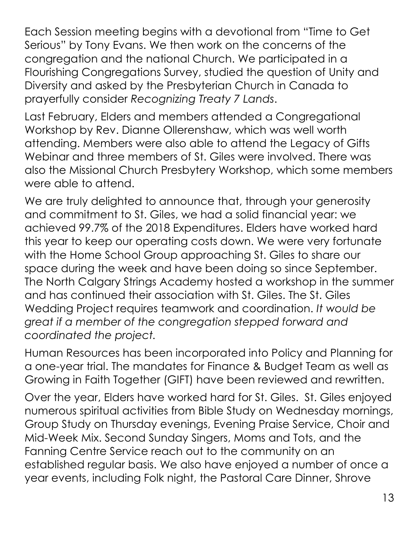Each Session meeting begins with a devotional from "Time to Get Serious" by Tony Evans. We then work on the concerns of the congregation and the national Church. We participated in a Flourishing Congregations Survey, studied the question of Unity and Diversity and asked by the Presbyterian Church in Canada to prayerfully consider *Recognizing Treaty 7 Lands*.

Last February, Elders and members attended a Congregational Workshop by Rev. Dianne Ollerenshaw, which was well worth attending. Members were also able to attend the Legacy of Gifts Webinar and three members of St. Giles were involved. There was also the Missional Church Presbytery Workshop, which some members were able to attend.

We are truly delighted to announce that, through your generosity and commitment to St. Giles, we had a solid financial year: we achieved 99.7% of the 2018 Expenditures. Elders have worked hard this year to keep our operating costs down. We were very fortunate with the Home School Group approaching St. Giles to share our space during the week and have been doing so since September. The North Calgary Strings Academy hosted a workshop in the summer and has continued their association with St. Giles. The St. Giles Wedding Project requires teamwork and coordination. *It would be great if a member of the congregation stepped forward and coordinated the project.*

Human Resources has been incorporated into Policy and Planning for a one-year trial. The mandates for Finance & Budget Team as well as Growing in Faith Together (GIFT) have been reviewed and rewritten.

Over the year, Elders have worked hard for St. Giles. St. Giles enjoyed numerous spiritual activities from Bible Study on Wednesday mornings, Group Study on Thursday evenings, Evening Praise Service, Choir and Mid-Week Mix. Second Sunday Singers, Moms and Tots, and the Fanning Centre Service reach out to the community on an established regular basis. We also have enjoyed a number of once a year events, including Folk night, the Pastoral Care Dinner, Shrove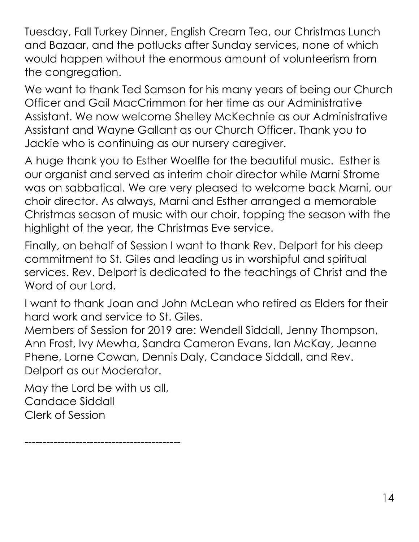Tuesday, Fall Turkey Dinner, English Cream Tea, our Christmas Lunch and Bazaar, and the potlucks after Sunday services, none of which would happen without the enormous amount of volunteerism from the congregation.

We want to thank Ted Samson for his many years of being our Church Officer and Gail MacCrimmon for her time as our Administrative Assistant. We now welcome Shelley McKechnie as our Administrative Assistant and Wayne Gallant as our Church Officer. Thank you to Jackie who is continuing as our nursery caregiver.

A huge thank you to Esther Woelfle for the beautiful music. Esther is our organist and served as interim choir director while Marni Strome was on sabbatical. We are very pleased to welcome back Marni, our choir director. As always, Marni and Esther arranged a memorable Christmas season of music with our choir, topping the season with the highlight of the year, the Christmas Eve service.

Finally, on behalf of Session I want to thank Rev. Delport for his deep commitment to St. Giles and leading us in worshipful and spiritual services. Rev. Delport is dedicated to the teachings of Christ and the Word of our Lord.

I want to thank Joan and John McLean who retired as Elders for their hard work and service to St. Giles.

Members of Session for 2019 are: Wendell Siddall, Jenny Thompson, Ann Frost, Ivy Mewha, Sandra Cameron Evans, Ian McKay, Jeanne Phene, Lorne Cowan, Dennis Daly, Candace Siddall, and Rev. Delport as our Moderator.

May the Lord be with us all, Candace Siddall Clerk of Session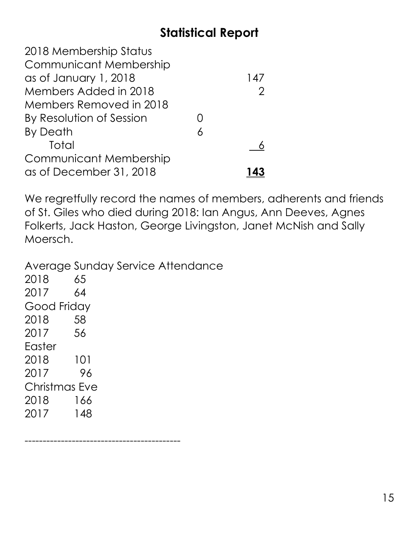### **Statistical Report**

<span id="page-14-0"></span>

| 147 |
|-----|
|     |
|     |
|     |
|     |
|     |
|     |
|     |
|     |

We regretfully record the names of members, adherents and friends of St. Giles who died during 2018: Ian Angus, Ann Deeves, Agnes Folkerts, Jack Haston, George Livingston, Janet McNish and Sally Moersch.

Average Sunday Service Attendance 2018 65 2017 64 Good Friday 2018 58 2017 56 Easter 2018 101 2017 96 Christmas Eve 2018 166 2017 148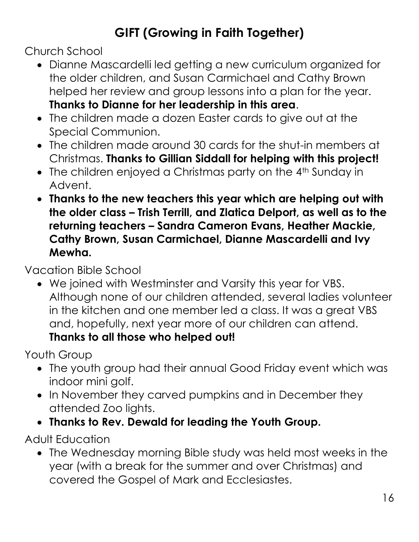## **GIFT (Growing in Faith Together)**

<span id="page-15-0"></span>Church School

- Dianne Mascardelli led getting a new curriculum organized for the older children, and Susan Carmichael and Cathy Brown helped her review and group lessons into a plan for the year. **Thanks to Dianne for her leadership in this area**.
- The children made a dozen Easter cards to give out at the Special Communion.
- The children made around 30 cards for the shut-in members at Christmas. **Thanks to Gillian Siddall for helping with this project!**
- The children enjoyed a Christmas party on the 4<sup>th</sup> Sunday in Advent.
- **Thanks to the new teachers this year which are helping out with the older class – Trish Terrill, and Zlatica Delport, as well as to the returning teachers – Sandra Cameron Evans, Heather Mackie, Cathy Brown, Susan Carmichael, Dianne Mascardelli and Ivy Mewha.**

Vacation Bible School

 We joined with Westminster and Varsity this year for VBS. Although none of our children attended, several ladies volunteer in the kitchen and one member led a class. It was a great VBS and, hopefully, next year more of our children can attend. **Thanks to all those who helped out!**

Youth Group

- The youth group had their annual Good Friday event which was indoor mini golf.
- In November they carved pumpkins and in December they attended Zoo lights.
- **Thanks to Rev. Dewald for leading the Youth Group.**

Adult Education

 The Wednesday morning Bible study was held most weeks in the year (with a break for the summer and over Christmas) and covered the Gospel of Mark and Ecclesiastes.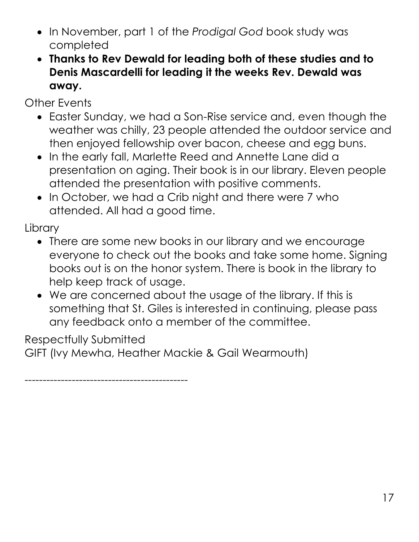- In November, part 1 of the *Prodigal God* book study was completed
- **Thanks to Rev Dewald for leading both of these studies and to Denis Mascardelli for leading it the weeks Rev. Dewald was away.**

Other Events

- Easter Sunday, we had a Son-Rise service and, even though the weather was chilly, 23 people attended the outdoor service and then enjoyed fellowship over bacon, cheese and egg buns.
- In the early fall, Marlette Reed and Annette Lane did a presentation on aging. Their book is in our library. Eleven people attended the presentation with positive comments.
- In October, we had a Crib night and there were 7 who attended. All had a good time.

**Library** 

- There are some new books in our library and we encourage everyone to check out the books and take some home. Signing books out is on the honor system. There is book in the library to help keep track of usage.
- We are concerned about the usage of the library. If this is something that St. Giles is interested in continuing, please pass any feedback onto a member of the committee.

Respectfully Submitted

GIFT (Ivy Mewha, Heather Mackie & Gail Wearmouth)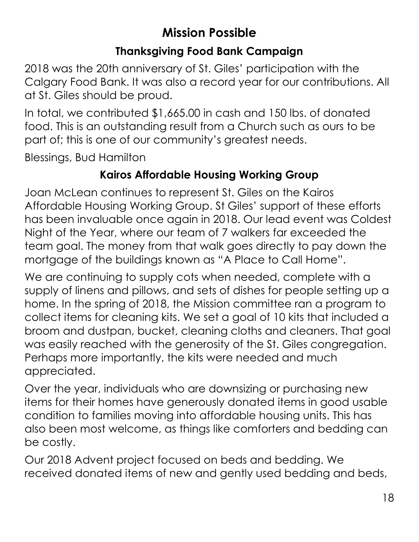### **Mission Possible**

#### **Thanksgiving Food Bank Campaign**

<span id="page-17-0"></span>2018 was the 20th anniversary of St. Giles' participation with the Calgary Food Bank. It was also a record year for our contributions. All at St. Giles should be proud.

In total, we contributed \$1,665.00 in cash and 150 lbs. of donated food. This is an outstanding result from a Church such as ours to be part of; this is one of our community's greatest needs.

Blessings, Bud Hamilton

#### **Kairos Affordable Housing Working Group**

Joan McLean continues to represent St. Giles on the Kairos Affordable Housing Working Group. St Giles' support of these efforts has been invaluable once again in 2018. Our lead event was Coldest Night of the Year, where our team of 7 walkers far exceeded the team goal. The money from that walk goes directly to pay down the mortgage of the buildings known as "A Place to Call Home".

We are continuing to supply cots when needed, complete with a supply of linens and pillows, and sets of dishes for people setting up a home. In the spring of 2018, the Mission committee ran a program to collect items for cleaning kits. We set a goal of 10 kits that included a broom and dustpan, bucket, cleaning cloths and cleaners. That goal was easily reached with the generosity of the St. Giles congregation. Perhaps more importantly, the kits were needed and much appreciated.

Over the year, individuals who are downsizing or purchasing new items for their homes have generously donated items in good usable condition to families moving into affordable housing units. This has also been most welcome, as things like comforters and bedding can be costly.

Our 2018 Advent project focused on beds and bedding. We received donated items of new and gently used bedding and beds,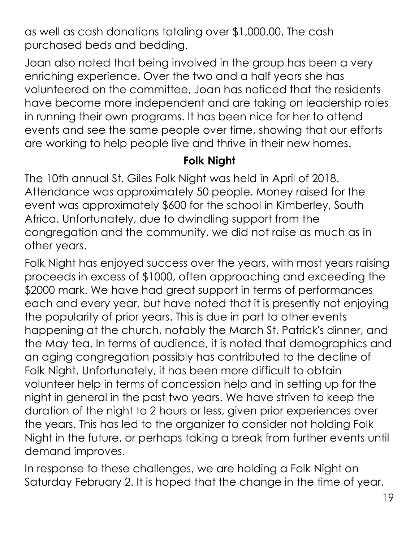as well as cash donations totaling over \$1,000.00. The cash purchased beds and bedding.

Joan also noted that being involved in the group has been a very enriching experience. Over the two and a half years she has volunteered on the committee, Joan has noticed that the residents have become more independent and are taking on leadership roles in running their own programs. It has been nice for her to attend events and see the same people over time, showing that our efforts are working to help people live and thrive in their new homes.

#### **Folk Night**

The 10th annual St. Giles Folk Night was held in April of 2018. Attendance was approximately 50 people. Money raised for the event was approximately \$600 for the school in Kimberley, South Africa. Unfortunately, due to dwindling support from the congregation and the community, we did not raise as much as in other years.

Folk Night has enjoyed success over the years, with most years raising proceeds in excess of \$1000, often approaching and exceeding the \$2000 mark. We have had great support in terms of performances each and every year, but have noted that it is presently not enjoying the popularity of prior years. This is due in part to other events happening at the church, notably the March St. Patrick's dinner, and the May tea. In terms of audience, it is noted that demographics and an aging congregation possibly has contributed to the decline of Folk Night. Unfortunately, it has been more difficult to obtain volunteer help in terms of concession help and in setting up for the night in general in the past two years. We have striven to keep the duration of the night to 2 hours or less, given prior experiences over the years. This has led to the organizer to consider not holding Folk Night in the future, or perhaps taking a break from further events until demand improves.

In response to these challenges, we are holding a Folk Night on Saturday February 2. It is hoped that the change in the time of year,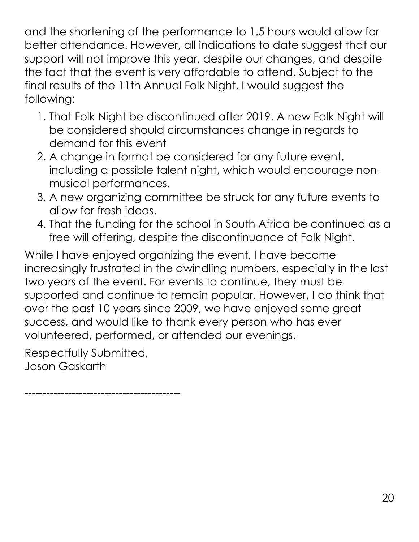and the shortening of the performance to 1.5 hours would allow for better attendance. However, all indications to date suggest that our support will not improve this year, despite our changes, and despite the fact that the event is very affordable to attend. Subject to the final results of the 11th Annual Folk Night, I would suggest the following:

- 1. That Folk Night be discontinued after 2019. A new Folk Night will be considered should circumstances change in regards to demand for this event
- 2. A change in format be considered for any future event, including a possible talent night, which would encourage nonmusical performances.
- 3. A new organizing committee be struck for any future events to allow for fresh ideas.
- 4. That the funding for the school in South Africa be continued as a free will offering, despite the discontinuance of Folk Night.

While I have enjoyed organizing the event, I have become increasingly frustrated in the dwindling numbers, especially in the last two years of the event. For events to continue, they must be supported and continue to remain popular. However, I do think that over the past 10 years since 2009, we have enjoyed some great success, and would like to thank every person who has ever volunteered, performed, or attended our evenings.

Respectfully Submitted, Jason Gaskarth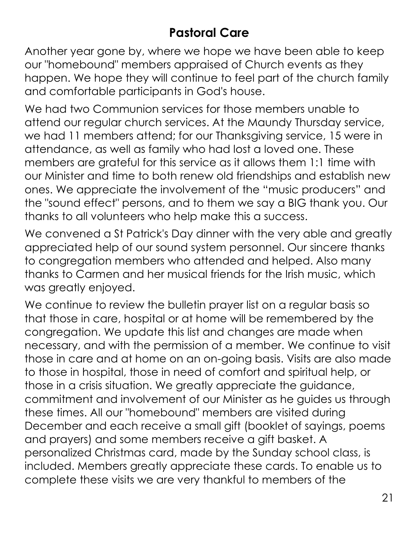### **Pastoral Care**

<span id="page-20-0"></span>Another year gone by, where we hope we have been able to keep our "homebound" members appraised of Church events as they happen. We hope they will continue to feel part of the church family and comfortable participants in God's house.

We had two Communion services for those members unable to attend our regular church services. At the Maundy Thursday service, we had 11 members attend; for our Thanksgiving service, 15 were in attendance, as well as family who had lost a loved one. These members are grateful for this service as it allows them 1:1 time with our Minister and time to both renew old friendships and establish new ones. We appreciate the involvement of the "music producers" and the "sound effect" persons, and to them we say a BIG thank you. Our thanks to all volunteers who help make this a success.

We convened a St Patrick's Day dinner with the very able and greatly appreciated help of our sound system personnel. Our sincere thanks to congregation members who attended and helped. Also many thanks to Carmen and her musical friends for the Irish music, which was greatly enjoyed.

We continue to review the bulletin prayer list on a regular basis so that those in care, hospital or at home will be remembered by the congregation. We update this list and changes are made when necessary, and with the permission of a member. We continue to visit those in care and at home on an on-going basis. Visits are also made to those in hospital, those in need of comfort and spiritual help, or those in a crisis situation. We greatly appreciate the guidance, commitment and involvement of our Minister as he guides us through these times. All our "homebound" members are visited during December and each receive a small gift (booklet of sayings, poems and prayers) and some members receive a gift basket. A personalized Christmas card, made by the Sunday school class, is included. Members greatly appreciate these cards. To enable us to complete these visits we are very thankful to members of the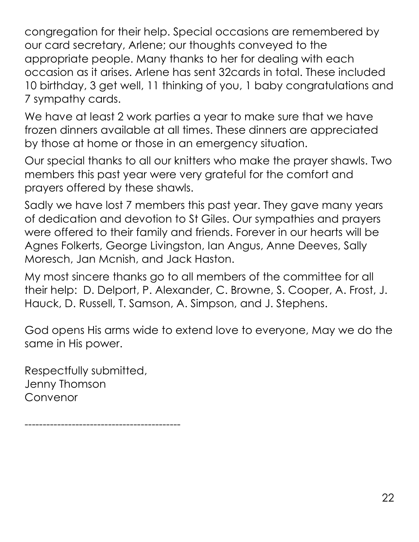congregation for their help. Special occasions are remembered by our card secretary, Arlene; our thoughts conveyed to the appropriate people. Many thanks to her for dealing with each occasion as it arises. Arlene has sent 32cards in total. These included 10 birthday, 3 get well, 11 thinking of you, 1 baby congratulations and 7 sympathy cards.

We have at least 2 work parties a year to make sure that we have frozen dinners available at all times. These dinners are appreciated by those at home or those in an emergency situation.

Our special thanks to all our knitters who make the prayer shawls. Two members this past year were very grateful for the comfort and prayers offered by these shawls.

Sadly we have lost 7 members this past year. They gave many years of dedication and devotion to St Giles. Our sympathies and prayers were offered to their family and friends. Forever in our hearts will be Agnes Folkerts, George Livingston, Ian Angus, Anne Deeves, Sally Moresch, Jan Mcnish, and Jack Haston.

My most sincere thanks go to all members of the committee for all their help: D. Delport, P. Alexander, C. Browne, S. Cooper, A. Frost, J. Hauck, D. Russell, T. Samson, A. Simpson, and J. Stephens.

God opens His arms wide to extend love to everyone, May we do the same in His power.

Respectfully submitted, Jenny Thomson Convenor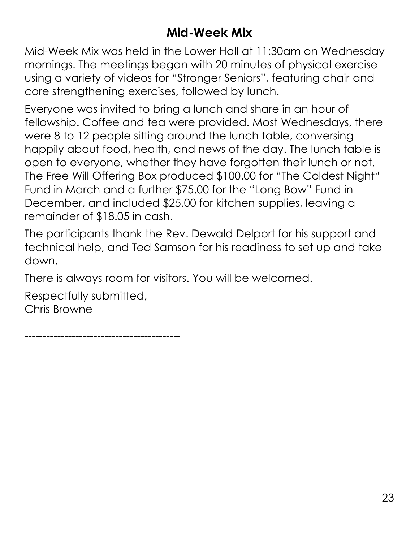### **Mid-Week Mix**

<span id="page-22-0"></span>Mid-Week Mix was held in the Lower Hall at 11:30am on Wednesday mornings. The meetings began with 20 minutes of physical exercise using a variety of videos for "Stronger Seniors", featuring chair and core strengthening exercises, followed by lunch.

Everyone was invited to bring a lunch and share in an hour of fellowship. Coffee and tea were provided. Most Wednesdays, there were 8 to 12 people sitting around the lunch table, conversing happily about food, health, and news of the day. The lunch table is open to everyone, whether they have forgotten their lunch or not. The Free Will Offering Box produced \$100.00 for "The Coldest Night" Fund in March and a further \$75.00 for the "Long Bow" Fund in December, and included \$25.00 for kitchen supplies, leaving a remainder of \$18.05 in cash.

The participants thank the Rev. Dewald Delport for his support and technical help, and Ted Samson for his readiness to set up and take down.

There is always room for visitors. You will be welcomed.

Respectfully submitted, Chris Browne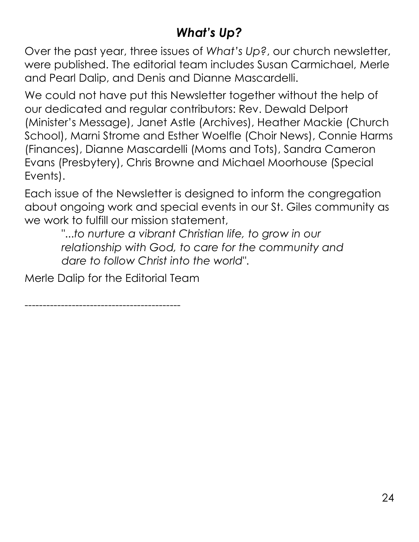### *What's Up?*

<span id="page-23-0"></span>Over the past year, three issues of *What's Up?*, our church newsletter, were published. The editorial team includes Susan Carmichael, Merle and Pearl Dalip, and Denis and Dianne Mascardelli.

We could not have put this Newsletter together without the help of our dedicated and regular contributors: Rev. Dewald Delport (Minister's Message), Janet Astle (Archives), Heather Mackie (Church School), Marni Strome and Esther Woelfle (Choir News), Connie Harms (Finances), Dianne Mascardelli (Moms and Tots), Sandra Cameron Evans (Presbytery), Chris Browne and Michael Moorhouse (Special Events).

Each issue of the Newsletter is designed to inform the congregation about ongoing work and special events in our St. Giles community as we work to fulfill our mission statement,

"...*to nurture a vibrant Christian life, to grow in our relationship with God, to care for the community and dare to follow Christ into the world"*.

Merle Dalip for the Editorial Team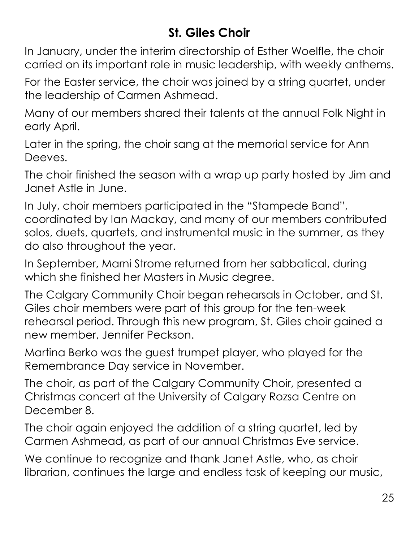### **St. Giles Choir**

<span id="page-24-0"></span>In January, under the interim directorship of Esther Woelfle, the choir carried on its important role in music leadership, with weekly anthems.

For the Easter service, the choir was joined by a string quartet, under the leadership of Carmen Ashmead.

Many of our members shared their talents at the annual Folk Night in early April.

Later in the spring, the choir sang at the memorial service for Ann Deeves.

The choir finished the season with a wrap up party hosted by Jim and Janet Astle in June.

In July, choir members participated in the "Stampede Band", coordinated by Ian Mackay, and many of our members contributed solos, duets, quartets, and instrumental music in the summer, as they do also throughout the year.

In September, Marni Strome returned from her sabbatical, during which she finished her Masters in Music degree.

The Calgary Community Choir began rehearsals in October, and St. Giles choir members were part of this group for the ten-week rehearsal period. Through this new program, St. Giles choir gained a new member, Jennifer Peckson.

Martina Berko was the guest trumpet player, who played for the Remembrance Day service in November.

The choir, as part of the Calgary Community Choir, presented a Christmas concert at the University of Calgary Rozsa Centre on December 8.

The choir again enjoyed the addition of a string quartet, led by Carmen Ashmead, as part of our annual Christmas Eve service.

We continue to recognize and thank Janet Astle, who, as choir librarian, continues the large and endless task of keeping our music,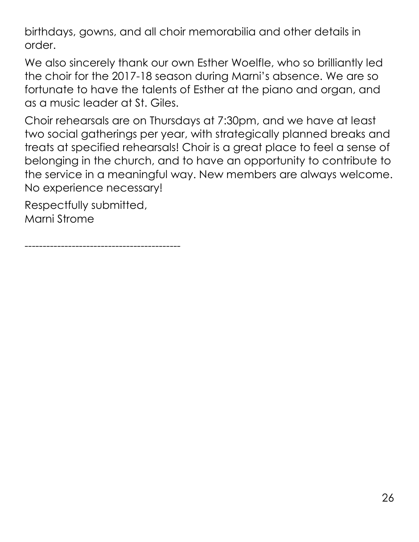birthdays, gowns, and all choir memorabilia and other details in order.

We also sincerely thank our own Esther Woelfle, who so brilliantly led the choir for the 2017-18 season during Marni's absence. We are so fortunate to have the talents of Esther at the piano and organ, and as a music leader at St. Giles.

Choir rehearsals are on Thursdays at 7:30pm, and we have at least two social gatherings per year, with strategically planned breaks and treats at specified rehearsals! Choir is a great place to feel a sense of belonging in the church, and to have an opportunity to contribute to the service in a meaningful way. New members are always welcome. No experience necessary!

Respectfully submitted, Marni Strome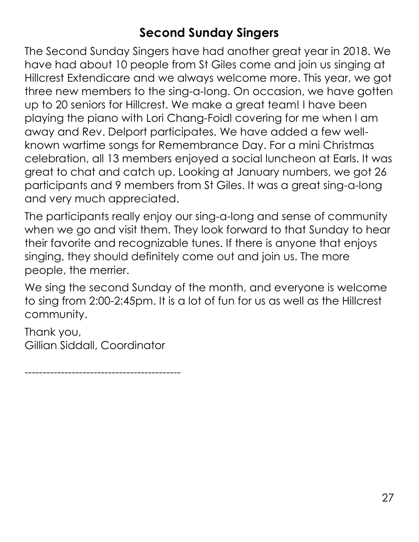### **Second Sunday Singers**

<span id="page-26-0"></span>The Second Sunday Singers have had another great year in 2018. We have had about 10 people from St Giles come and join us singing at Hillcrest Extendicare and we always welcome more. This year, we got three new members to the sing-a-long. On occasion, we have gotten up to 20 seniors for Hillcrest. We make a great team! I have been playing the piano with Lori Chang-Foidl covering for me when I am away and Rev. Delport participates. We have added a few wellknown wartime songs for Remembrance Day. For a mini Christmas celebration, all 13 members enjoyed a social luncheon at Earls. It was great to chat and catch up. Looking at January numbers, we got 26 participants and 9 members from St Giles. It was a great sing-a-long and very much appreciated.

The participants really enjoy our sing-a-long and sense of community when we go and visit them. They look forward to that Sunday to hear their favorite and recognizable tunes. If there is anyone that enjoys singing, they should definitely come out and join us. The more people, the merrier.

We sing the second Sunday of the month, and everyone is welcome to sing from 2:00-2:45pm. It is a lot of fun for us as well as the Hillcrest community.

Thank you, Gillian Siddall, Coordinator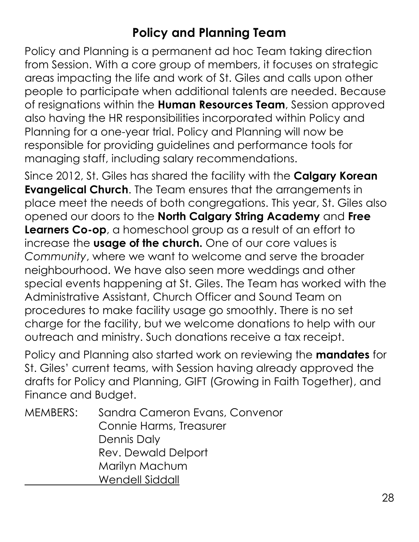### **Policy and Planning Team**

<span id="page-27-0"></span>Policy and Planning is a permanent ad hoc Team taking direction from Session. With a core group of members, it focuses on strategic areas impacting the life and work of St. Giles and calls upon other people to participate when additional talents are needed. Because of resignations within the **Human Resources Team**, Session approved also having the HR responsibilities incorporated within Policy and Planning for a one-year trial. Policy and Planning will now be responsible for providing guidelines and performance tools for managing staff, including salary recommendations.

Since 2012, St. Giles has shared the facility with the **Calgary Korean Evangelical Church**. The Team ensures that the arrangements in place meet the needs of both congregations. This year, St. Giles also opened our doors to the **North Calgary String Academy** and **Free Learners Co-op**, a homeschool group as a result of an effort to increase the **usage of the church.** One of our core values is *Community*, where we want to welcome and serve the broader neighbourhood. We have also seen more weddings and other special events happening at St. Giles. The Team has worked with the Administrative Assistant, Church Officer and Sound Team on procedures to make facility usage go smoothly. There is no set charge for the facility, but we welcome donations to help with our outreach and ministry. Such donations receive a tax receipt.

Policy and Planning also started work on reviewing the **mandates** for St. Giles' current teams, with Session having already approved the drafts for Policy and Planning, GIFT (Growing in Faith Together), and Finance and Budget.

MEMBERS: Sandra Cameron Evans, Convenor Connie Harms, Treasurer Dennis Daly Rev. Dewald Delport Marilyn Machum Wendell Siddall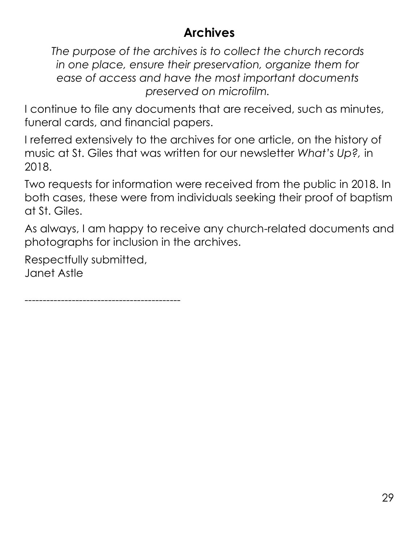### **Archives**

<span id="page-28-0"></span>*The purpose of the archives is to collect the church records in one place, ensure their preservation, organize them for ease of access and have the most important documents preserved on microfilm.*

I continue to file any documents that are received, such as minutes, funeral cards, and financial papers.

I referred extensively to the archives for one article, on the history of music at St. Giles that was written for our newsletter *What's Up?,* in 2018.

Two requests for information were received from the public in 2018. In both cases, these were from individuals seeking their proof of baptism at St. Giles.

As always, I am happy to receive any church-related documents and photographs for inclusion in the archives.

Respectfully submitted, Janet Astle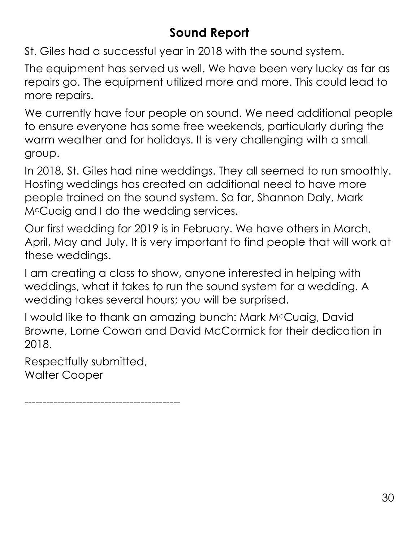### **Sound Report**

<span id="page-29-0"></span>St. Giles had a successful year in 2018 with the sound system.

The equipment has served us well. We have been very lucky as far as repairs go. The equipment utilized more and more. This could lead to more repairs.

We currently have four people on sound. We need additional people to ensure everyone has some free weekends, particularly during the warm weather and for holidays. It is very challenging with a small group.

In 2018, St. Giles had nine weddings. They all seemed to run smoothly. Hosting weddings has created an additional need to have more people trained on the sound system. So far, Shannon Daly, Mark McCuaig and I do the wedding services.

Our first wedding for 2019 is in February. We have others in March, April, May and July. It is very important to find people that will work at these weddings.

I am creating a class to show, anyone interested in helping with weddings, what it takes to run the sound system for a wedding. A wedding takes several hours; you will be surprised.

I would like to thank an amazing bunch: Mark McCuaig, David Browne, Lorne Cowan and David McCormick for their dedication in 2018.

Respectfully submitted, Walter Cooper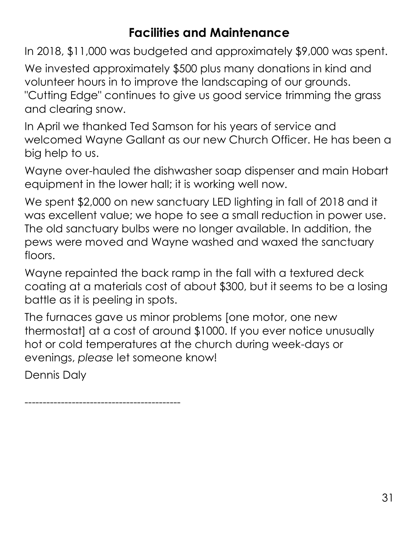### **Facilities and Maintenance**

<span id="page-30-0"></span>In 2018, \$11,000 was budgeted and approximately \$9,000 was spent.

We invested approximately \$500 plus many donations in kind and volunteer hours in to improve the landscaping of our grounds. "Cutting Edge" continues to give us good service trimming the grass and clearing snow.

In April we thanked Ted Samson for his years of service and welcomed Wayne Gallant as our new Church Officer. He has been a big help to us.

Wayne over-hauled the dishwasher soap dispenser and main Hobart equipment in the lower hall; it is working well now.

We spent \$2,000 on new sanctuary LED lighting in fall of 2018 and it was excellent value; we hope to see a small reduction in power use. The old sanctuary bulbs were no longer available. In addition, the pews were moved and Wayne washed and waxed the sanctuary floors.

Wayne repainted the back ramp in the fall with a textured deck coating at a materials cost of about \$300, but it seems to be a losing battle as it is peeling in spots.

The furnaces gave us minor problems [one motor, one new thermostat] at a cost of around \$1000. If you ever notice unusually hot or cold temperatures at the church during week-days or evenings, *please* let someone know!

Dennis Daly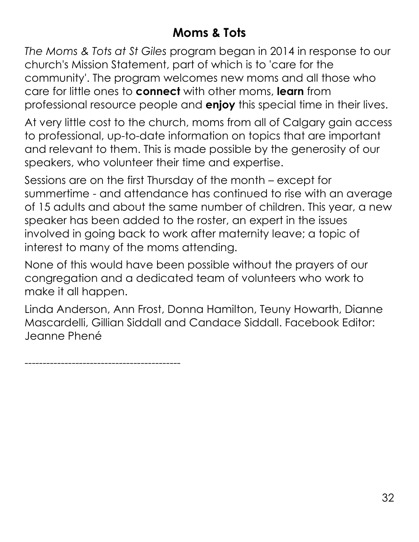### **Moms & Tots**

<span id="page-31-0"></span>*The Moms & Tots at St Giles* program began in 2014 in response to our church's Mission Statement, part of which is to 'care for the community'. The program welcomes new moms and all those who care for little ones to **connect** with other moms, **learn** from professional resource people and **enjoy** this special time in their lives.

At very little cost to the church, moms from all of Calgary gain access to professional, up-to-date information on topics that are important and relevant to them. This is made possible by the generosity of our speakers, who volunteer their time and expertise.

Sessions are on the first Thursday of the month – except for summertime - and attendance has continued to rise with an average of 15 adults and about the same number of children. This year, a new speaker has been added to the roster, an expert in the issues involved in going back to work after maternity leave; a topic of interest to many of the moms attending.

None of this would have been possible without the prayers of our congregation and a dedicated team of volunteers who work to make it all happen.

Linda Anderson, Ann Frost, Donna Hamilton, Teuny Howarth, Dianne Mascardelli, Gillian Siddall and Candace Siddall. Facebook Editor: Jeanne Phené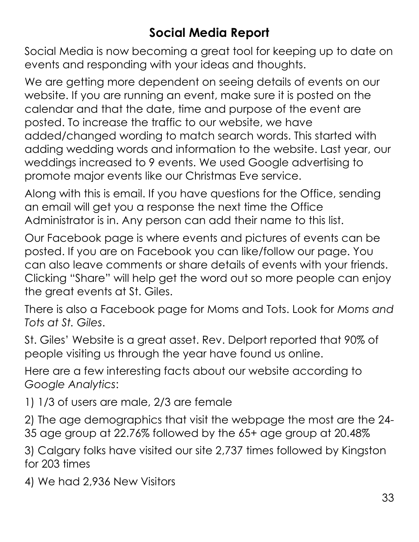### **Social Media Report**

<span id="page-32-0"></span>Social Media is now becoming a great tool for keeping up to date on events and responding with your ideas and thoughts.

We are getting more dependent on seeing details of events on our website. If you are running an event, make sure it is posted on the calendar and that the date, time and purpose of the event are posted. To increase the traffic to our website, we have added/changed wording to match search words. This started with adding wedding words and information to the website. Last year, our weddings increased to 9 events. We used Google advertising to promote major events like our Christmas Eve service.

Along with this is email. If you have questions for the Office, sending an email will get you a response the next time the Office Administrator is in. Any person can add their name to this list.

Our Facebook page is where events and pictures of events can be posted. If you are on Facebook you can like/follow our page. You can also leave comments or share details of events with your friends. Clicking "Share" will help get the word out so more people can enjoy the great events at St. Giles.

There is also a Facebook page for Moms and Tots. Look for *Moms and Tots at St. Giles*.

St. Giles' Website is a great asset. Rev. Delport reported that 90% of people visiting us through the year have found us online.

Here are a few interesting facts about our website according to *Google Analytics*:

1) 1/3 of users are male, 2/3 are female

2) The age demographics that visit the webpage the most are the 24- 35 age group at 22.76% followed by the 65+ age group at 20.48%

3) Calgary folks have visited our site 2,737 times followed by Kingston for 203 times

4) We had 2,936 New Visitors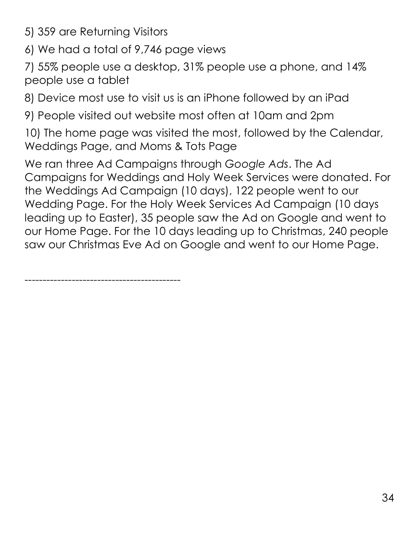- 5) 359 are Returning Visitors
- 6) We had a total of 9,746 page views

7) 55% people use a desktop, 31% people use a phone, and 14% people use a tablet

8) Device most use to visit us is an iPhone followed by an iPad

9) People visited out website most often at 10am and 2pm

10) The home page was visited the most, followed by the Calendar, Weddings Page, and Moms & Tots Page

We ran three Ad Campaigns through *Google Ads*. The Ad Campaigns for Weddings and Holy Week Services were donated. For the Weddings Ad Campaign (10 days), 122 people went to our Wedding Page. For the Holy Week Services Ad Campaign (10 days leading up to Easter), 35 people saw the Ad on Google and went to our Home Page. For the 10 days leading up to Christmas, 240 people saw our Christmas Eve Ad on Google and went to our Home Page.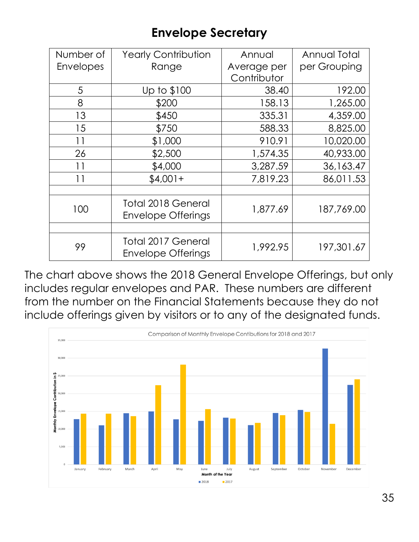### **Envelope Secretary**

<span id="page-34-0"></span>

| Number of        | <b>Yearly Contribution</b>                             | Annual      | Annual Total |
|------------------|--------------------------------------------------------|-------------|--------------|
| <b>Envelopes</b> | Range                                                  | Average per | per Grouping |
|                  |                                                        | Contributor |              |
| 5                | Up to \$100                                            | 38.40       | 192.00       |
| 8                | \$200                                                  | 158.13      | 1,265.00     |
| 13               | \$450                                                  | 335.31      | 4,359.00     |
| 15               | \$750                                                  | 588.33      | 8,825.00     |
| 11               | \$1,000                                                | 910.91      | 10,020.00    |
| 26               | \$2,500                                                | 1,574.35    | 40,933.00    |
| 11               | \$4,000                                                | 3,287.59    | 36,163.47    |
| 11               | $$4,001+$                                              | 7,819.23    | 86,011.53    |
|                  |                                                        |             |              |
| 100              | <b>Total 2018 General</b><br><b>Envelope Offerings</b> | 1,877.69    | 187,769.00   |
|                  |                                                        |             |              |
| 99               | Total 2017 General<br><b>Envelope Offerings</b>        | 1,992.95    | 197,301.67   |

The chart above shows the 2018 General Envelope Offerings, but only includes regular envelopes and PAR. These numbers are different from the number on the Financial Statements because they do not include offerings given by visitors or to any of the designated funds.

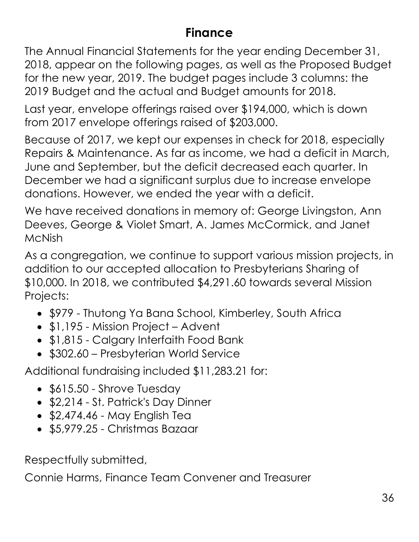#### **Finance**

The Annual Financial Statements for the year ending December 31, 2018, appear on the following pages, as well as the Proposed Budget for the new year, 2019. The budget pages include 3 columns: the 2019 Budget and the actual and Budget amounts for 2018.

Last year, envelope offerings raised over \$194,000, which is down from 2017 envelope offerings raised of \$203,000.

Because of 2017, we kept our expenses in check for 2018, especially Repairs & Maintenance. As far as income, we had a deficit in March, June and September, but the deficit decreased each quarter. In December we had a significant surplus due to increase envelope donations. However, we ended the year with a deficit.

We have received donations in memory of: George Livingston, Ann Deeves, George & Violet Smart, A. James McCormick, and Janet McNish

As a congregation, we continue to support various mission projects, in addition to our accepted allocation to Presbyterians Sharing of \$10,000. In 2018, we contributed \$4,291.60 towards several Mission Projects:

- \$979 Thutong Ya Bana School, Kimberley, South Africa
- \$1,195 Mission Project Advent
- \$1,815 Calgary Interfaith Food Bank
- \$302.60 Presbyterian World Service

Additional fundraising included \$11,283.21 for:

- \$615.50 Shrove Tuesday
- \$2,214 St. Patrick's Day Dinner
- $\bullet$  \$2,474.46 May English Tea
- \$5,979.25 Christmas Bazaar

Respectfully submitted,

Connie Harms, Finance Team Convener and Treasurer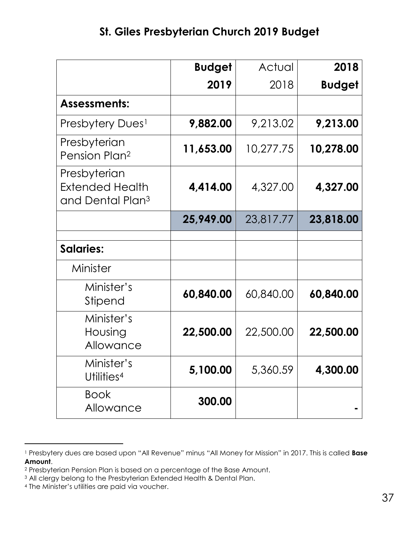|                                                                        | <b>Budget</b> | Actual    | 2018          |
|------------------------------------------------------------------------|---------------|-----------|---------------|
|                                                                        | 2019          | 2018      | <b>Budget</b> |
| <b>Assessments:</b>                                                    |               |           |               |
| Presbytery Dues <sup>1</sup>                                           | 9,882.00      | 9,213.02  | 9,213.00      |
| Presbyterian<br>Pension Plan <sup>2</sup>                              | 11,653.00     | 10,277.75 | 10,278.00     |
| Presbyterian<br><b>Extended Health</b><br>and Dental Plan <sup>3</sup> | 4,414.00      | 4,327.00  | 4,327.00      |
|                                                                        | 25,949.00     | 23,817.77 | 23,818.00     |
| <b>Salaries:</b>                                                       |               |           |               |
| Minister                                                               |               |           |               |
| Minister's<br>Stipend                                                  | 60,840.00     | 60,840.00 | 60,840.00     |
| Minister's<br>Housing<br>Allowance                                     | 22,500.00     | 22,500.00 | 22,500.00     |
| Minister's<br>Utilities <sup>4</sup>                                   | 5,100.00      | 5,360.59  | 4,300.00      |
| <b>Book</b><br>Allowance                                               | 300.00        |           |               |

<sup>1</sup> Presbytery dues are based upon "All Revenue" minus "All Money for Mission" in 2017. This is called **Base Amount**.

<sup>2</sup> Presbyterian Pension Plan is based on a percentage of the Base Amount.

<sup>&</sup>lt;sup>3</sup> All clergy belong to the Presbyterian Extended Health & Dental Plan.

<sup>4</sup> The Minister's utilities are paid via voucher.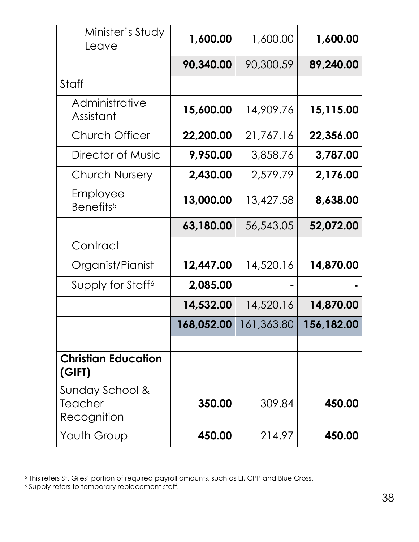| Minister's Study<br>Leave                 | 1,600.00   | 1,600.00   | 1,600.00   |
|-------------------------------------------|------------|------------|------------|
|                                           | 90,340.00  | 90,300.59  | 89,240.00  |
| Staff                                     |            |            |            |
| Administrative<br>Assistant               | 15,600.00  | 14,909.76  | 15,115.00  |
| <b>Church Officer</b>                     | 22,200.00  | 21,767.16  | 22,356.00  |
| Director of Music                         | 9,950.00   | 3,858.76   | 3,787.00   |
| <b>Church Nursery</b>                     | 2,430.00   | 2,579.79   | 2,176.00   |
| Employee<br>Benefits <sup>5</sup>         | 13,000.00  | 13,427.58  | 8,638.00   |
|                                           | 63,180.00  | 56,543.05  | 52,072.00  |
| Contract                                  |            |            |            |
| Organist/Pianist                          | 12,447.00  | 14,520.16  | 14,870.00  |
| Supply for Staff <sup>6</sup>             | 2,085.00   |            |            |
|                                           | 14,532.00  | 14,520.16  | 14,870.00  |
|                                           | 168,052.00 | 161,363.80 | 156,182.00 |
|                                           |            |            |            |
| <b>Christian Education</b><br>(GIFT)      |            |            |            |
| Sunday School &<br>Teacher<br>Recognition | 350.00     | 309.84     | 450.00     |
| Youth Group                               | 450.00     | 214.97     | 450.00     |

<sup>5</sup> This refers St. Giles' portion of required payroll amounts, such as EI, CPP and Blue Cross.

<sup>6</sup> Supply refers to temporary replacement staff.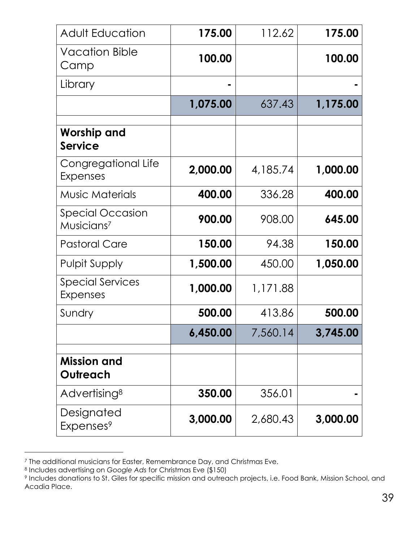| <b>Adult Education</b>                     | 175.00   | 112.62   | 175.00   |
|--------------------------------------------|----------|----------|----------|
| <b>Vacation Bible</b><br>Camp              | 100.00   |          | 100.00   |
| Library                                    |          |          |          |
|                                            | 1,075.00 | 637.43   | 1,175.00 |
| Worship and<br><b>Service</b>              |          |          |          |
| Congregational Life<br><b>Expenses</b>     | 2,000.00 | 4,185.74 | 1,000.00 |
| <b>Music Materials</b>                     | 400.00   | 336.28   | 400.00   |
| Special Occasion<br>Musicians <sup>7</sup> | 900.00   | 908.00   | 645.00   |
| <b>Pastoral Care</b>                       | 150.00   | 94.38    | 150.00   |
| <b>Pulpit Supply</b>                       | 1,500.00 | 450.00   | 1,050.00 |
| <b>Special Services</b><br><b>Expenses</b> | 1,000.00 | 1,171.88 |          |
| Sundry                                     | 500.00   | 413.86   | 500.00   |
|                                            | 6,450.00 | 7,560.14 | 3,745.00 |
| <b>Mission and</b><br>Outreach             |          |          |          |
| Advertising <sup>8</sup>                   | 350.00   | 356.01   |          |
| Designated<br>Expenses <sup>9</sup>        | 3,000.00 | 2,680.43 | 3,000.00 |

<sup>7</sup> The additional musicians for Easter, Remembrance Day, and Christmas Eve.

<sup>8</sup> Includes advertising on *Google Ads* for Christmas Eve (\$150)

<sup>9</sup> Includes donations to St. Giles for specific mission and outreach projects, i.e. Food Bank, Mission School, and Acadia Place.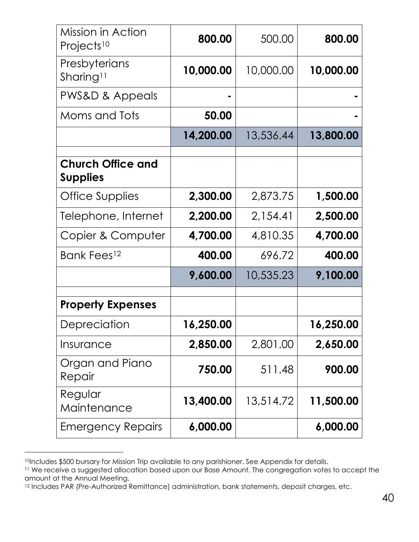| Mission in Action<br>Projects <sup>10</sup> | 800.00    | 500.00    | 800.00    |
|---------------------------------------------|-----------|-----------|-----------|
| Presbyterians<br>Sharing <sup>11</sup>      | 10,000.00 | 10,000.00 | 10,000.00 |
| PWS&D & Appeals                             |           |           |           |
| Moms and Tots                               | 50.00     |           |           |
|                                             | 14,200.00 | 13,536.44 | 13,800.00 |
| <b>Church Office and</b><br><b>Supplies</b> |           |           |           |
| Office Supplies                             | 2,300.00  | 2,873.75  | 1,500.00  |
| Telephone, Internet                         | 2,200.00  | 2,154.41  | 2,500.00  |
| Copier & Computer                           | 4,700.00  | 4,810.35  | 4,700.00  |
| Bank Fees <sup>12</sup>                     | 400.00    | 696.72    | 400.00    |
|                                             | 9,600.00  | 10,535.23 | 9,100.00  |
| <b>Property Expenses</b>                    |           |           |           |
| Depreciation                                | 16,250.00 |           | 16,250.00 |
| Insurance                                   | 2,850.00  | 2,801.00  | 2,650.00  |
| Organ and Piano<br>Repair                   | 750.00    | 511.48    | 900.00    |
| Regular<br>Maintenance                      | 13,400.00 | 13,514.72 | 11,500.00 |
| <b>Emergency Repairs</b>                    | 6,000.00  |           | 6,000.00  |

<sup>10|</sup>ncludes \$500 bursary for Mission Trip available to any parishioner. See Appendix for details.

<sup>11</sup> We receive a suggested allocation based upon our Base Amount. The congregation votes to accept the amount at the Annual Meeting.

<sup>&</sup>lt;sup>12</sup> Includes PAR (Pre-Authorized Remittance) administration, bank statements, deposit charges, etc.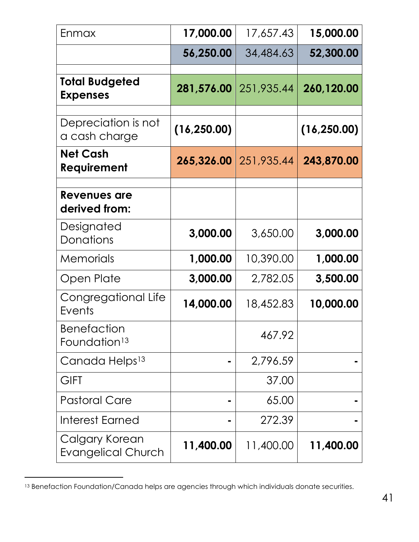| Enmax                                          | 17,000.00    | 17,657.43  | 15,000.00    |
|------------------------------------------------|--------------|------------|--------------|
|                                                | 56,250.00    | 34,484.63  | 52,300.00    |
| <b>Total Budgeted</b><br><b>Expenses</b>       | 281,576.00   | 251,935.44 | 260,120.00   |
| Depreciation is not<br>a cash charge           | (16, 250.00) |            | (16, 250.00) |
| <b>Net Cash</b><br>Requirement                 | 265,326.00   | 251,935.44 | 243,870.00   |
| Revenues are<br>derived from:                  |              |            |              |
| Designated<br>Donations                        | 3,000.00     | 3,650.00   | 3,000.00     |
| Memorials                                      | 1,000.00     | 10,390.00  | 1,000.00     |
| Open Plate                                     | 3,000.00     | 2,782.05   | 3,500.00     |
| Congregational Life<br>Events                  | 14,000.00    | 18,452.83  | 10,000.00    |
| <b>Benefaction</b><br>Foundation <sup>13</sup> |              | 467.92     |              |
| Canada Helps <sup>13</sup>                     |              | 2,796.59   |              |
| <b>GIFT</b>                                    |              | 37.00      |              |
| <b>Pastoral Care</b>                           |              | 65.00      |              |
| Interest Earned                                |              | 272.39     |              |
| Calgary Korean<br><b>Evangelical Church</b>    | 11,400.00    | 11,400.00  | 11,400.00    |

<sup>13</sup> Benefaction Foundation/Canada helps are agencies through which individuals donate securities.

l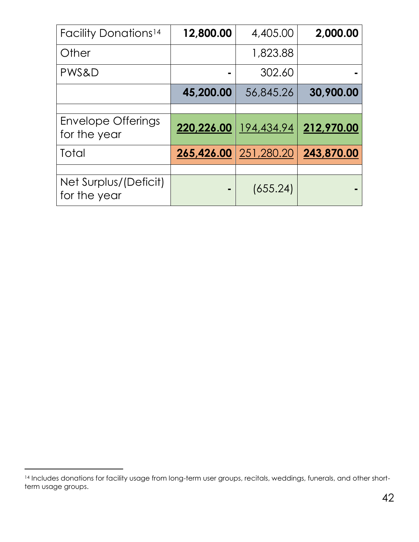| <b>Facility Donations<sup>14</sup></b>    | 12,800.00               | 4,405.00              | 2,000.00   |
|-------------------------------------------|-------------------------|-----------------------|------------|
| Other                                     |                         | 1,823.88              |            |
| PWS&D                                     |                         | 302.60                |            |
|                                           | 45,200.00               | 56,845.26             | 30,900.00  |
|                                           |                         |                       |            |
| <b>Envelope Offerings</b><br>for the year | 220,226.00   194,434.94 |                       | 212,970.00 |
| Total                                     |                         | 265,426.00 251,280.20 | 243,870.00 |
|                                           |                         |                       |            |
| Net Surplus/(Deficit)<br>for the year     |                         | (655.24)              |            |

<sup>&</sup>lt;sup>14</sup> Includes donations for facility usage from long-term user groups, recitals, weddings, funerals, and other shortterm usage groups.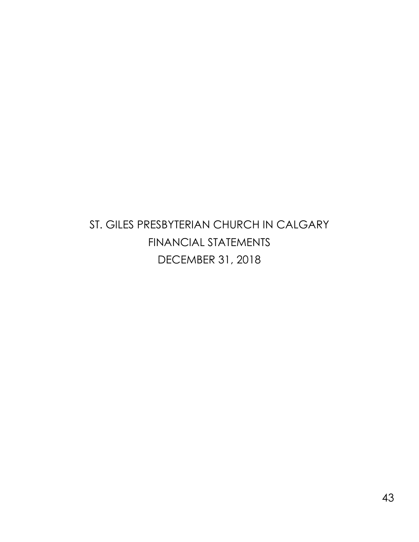### <span id="page-42-0"></span>ST. GILES PRESBYTERIAN CHURCH IN CALGARY FINANCIAL STATEMENTS DECEMBER 31, 2018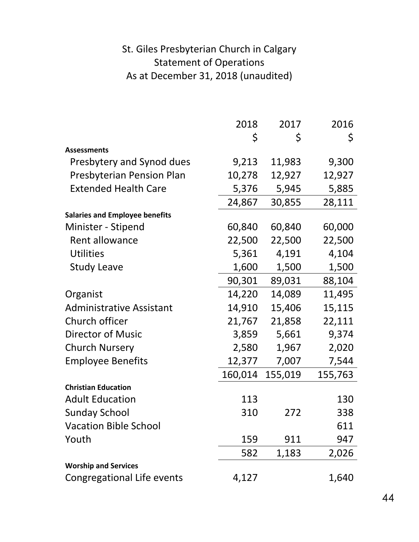#### St. Giles Presbyterian Church in Calgary Statement of Operations As at December 31, 2018 (unaudited)

|                                       | 2018    | 2017    | 2016    |
|---------------------------------------|---------|---------|---------|
|                                       | \$      | \$      | \$      |
| <b>Assessments</b>                    |         |         |         |
| Presbytery and Synod dues             | 9,213   | 11,983  | 9,300   |
| Presbyterian Pension Plan             | 10,278  | 12,927  | 12,927  |
| <b>Extended Health Care</b>           | 5,376   | 5,945   | 5,885   |
|                                       | 24,867  | 30,855  | 28,111  |
| <b>Salaries and Employee benefits</b> |         |         |         |
| Minister - Stipend                    | 60,840  | 60,840  | 60,000  |
| Rent allowance                        | 22,500  | 22,500  | 22,500  |
| <b>Utilities</b>                      | 5,361   | 4,191   | 4,104   |
| <b>Study Leave</b>                    | 1,600   | 1,500   | 1,500   |
|                                       | 90,301  | 89,031  | 88,104  |
| Organist                              | 14,220  | 14,089  | 11,495  |
| <b>Administrative Assistant</b>       | 14,910  | 15,406  | 15,115  |
| Church officer                        | 21,767  | 21,858  | 22,111  |
| <b>Director of Music</b>              | 3,859   | 5,661   | 9,374   |
| <b>Church Nursery</b>                 | 2,580   | 1,967   | 2,020   |
| <b>Employee Benefits</b>              | 12,377  | 7,007   | 7,544   |
|                                       | 160,014 | 155,019 | 155,763 |
| <b>Christian Education</b>            |         |         |         |
| <b>Adult Education</b>                | 113     |         | 130     |
| <b>Sunday School</b>                  | 310     | 272     | 338     |
| <b>Vacation Bible School</b>          |         |         | 611     |
| Youth                                 | 159     | 911     | 947     |
|                                       | 582     | 1,183   | 2,026   |
| <b>Worship and Services</b>           |         |         |         |
| Congregational Life events            | 4,127   |         | 1,640   |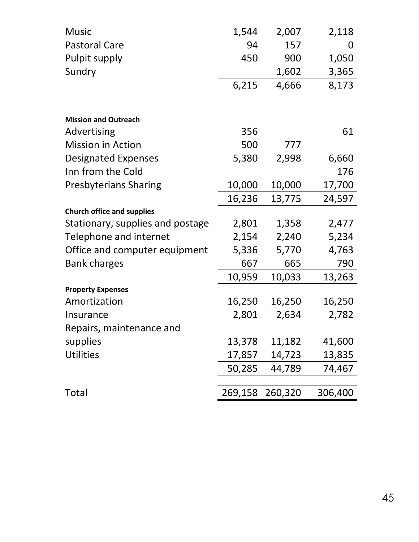| <b>Music</b>                      | 1,544   | 2,007   | 2,118   |
|-----------------------------------|---------|---------|---------|
| <b>Pastoral Care</b>              | 94      | 157     | 0       |
| Pulpit supply                     | 450     | 900     | 1,050   |
| Sundry                            |         | 1,602   | 3,365   |
|                                   | 6,215   | 4,666   | 8,173   |
|                                   |         |         |         |
| <b>Mission and Outreach</b>       |         |         |         |
| Advertising                       | 356     |         | 61      |
| <b>Mission in Action</b>          | 500     | 777     |         |
| <b>Designated Expenses</b>        | 5,380   | 2,998   | 6,660   |
| Inn from the Cold                 |         |         | 176     |
| <b>Presbyterians Sharing</b>      | 10,000  | 10,000  | 17,700  |
|                                   | 16,236  | 13,775  | 24,597  |
| <b>Church office and supplies</b> |         |         |         |
| Stationary, supplies and postage  | 2,801   | 1,358   | 2,477   |
| Telephone and internet            | 2,154   | 2,240   | 5,234   |
| Office and computer equipment     | 5,336   | 5,770   | 4,763   |
| <b>Bank charges</b>               | 667     | 665     | 790     |
|                                   | 10,959  | 10,033  | 13,263  |
| <b>Property Expenses</b>          |         |         |         |
| Amortization                      | 16,250  | 16,250  | 16,250  |
| Insurance                         | 2,801   | 2,634   | 2,782   |
| Repairs, maintenance and          |         |         |         |
| supplies                          | 13,378  | 11,182  | 41,600  |
| <b>Utilities</b>                  | 17,857  | 14,723  | 13,835  |
|                                   | 50,285  | 44,789  | 74,467  |
|                                   |         |         |         |
| Total                             | 269,158 | 260,320 | 306,400 |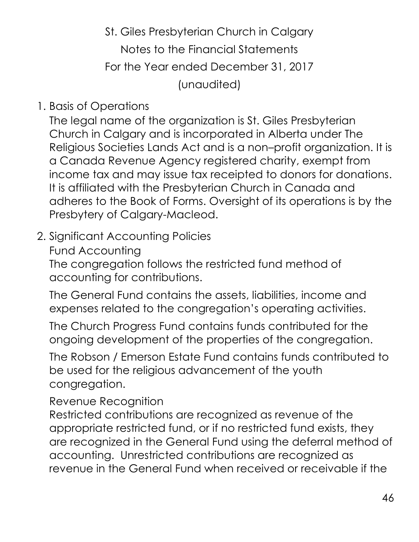St. Giles Presbyterian Church in Calgary Notes to the Financial Statements For the Year ended December 31, 2017 (unaudited)

1. Basis of Operations

The legal name of the organization is St. Giles Presbyterian Church in Calgary and is incorporated in Alberta under The Religious Societies Lands Act and is a non–profit organization. It is a Canada Revenue Agency registered charity, exempt from income tax and may issue tax receipted to donors for donations. It is affiliated with the Presbyterian Church in Canada and adheres to the Book of Forms. Oversight of its operations is by the Presbytery of Calgary-Macleod.

#### 2. Significant Accounting Policies

Fund Accounting

The congregation follows the restricted fund method of accounting for contributions.

The General Fund contains the assets, liabilities, income and expenses related to the congregation's operating activities.

The Church Progress Fund contains funds contributed for the ongoing development of the properties of the congregation.

The Robson / Emerson Estate Fund contains funds contributed to be used for the religious advancement of the youth congregation.

Revenue Recognition

Restricted contributions are recognized as revenue of the appropriate restricted fund, or if no restricted fund exists, they are recognized in the General Fund using the deferral method of accounting. Unrestricted contributions are recognized as revenue in the General Fund when received or receivable if the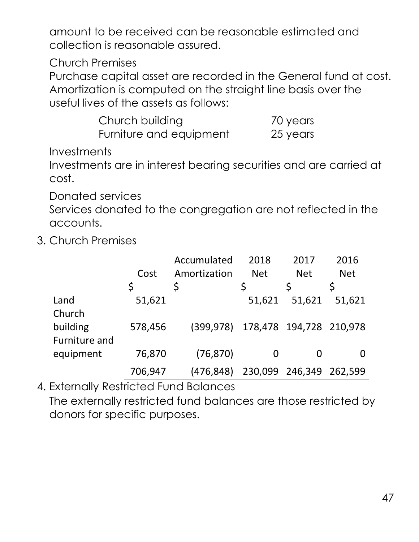amount to be received can be reasonable estimated and collection is reasonable assured.

Church Premises

Purchase capital asset are recorded in the General fund at cost. Amortization is computed on the straight line basis over the useful lives of the assets as follows:

| Church building         | 70 years |
|-------------------------|----------|
| Furniture and equipment | 25 years |

**Investments** 

Investments are in interest bearing securities and are carried at cost.

Donated services

Services donated to the congregation are not reflected in the accounts.

3. Church Premises

|                           |         | Accumulated  | 2018       | 2017                    | 2016       |
|---------------------------|---------|--------------|------------|-------------------------|------------|
|                           | Cost    | Amortization | <b>Net</b> | <b>Net</b>              | <b>Net</b> |
|                           | \$      |              |            |                         |            |
| Land<br>Church            | 51,621  |              | 51,621     | 51,621                  | 51,621     |
| building<br>Furniture and | 578,456 | (399, 978)   |            | 178,478 194,728 210,978 |            |
| equipment                 | 76,870  | (76, 870)    | 0          | 0                       |            |
|                           | 706,947 | (476,848)    |            | 230,099 246,349         | 262,599    |

4. Externally Restricted Fund Balances The externally restricted fund balances are those restricted by donors for specific purposes.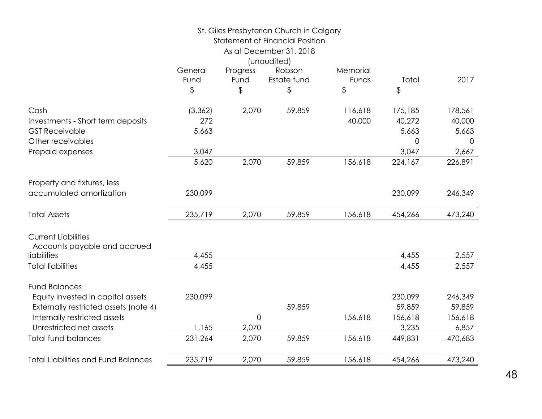| General  | Progress            | Robson     | Memorial                                                    |                                                                                                   |                      |
|----------|---------------------|------------|-------------------------------------------------------------|---------------------------------------------------------------------------------------------------|----------------------|
|          |                     |            |                                                             |                                                                                                   | 2017                 |
|          |                     |            |                                                             |                                                                                                   |                      |
| (3, 362) | 2,070               | 59,859     | 116,618                                                     | 175,185                                                                                           | 178,561              |
| 272      |                     |            | 40,000                                                      | 40,272                                                                                            | 40,000               |
| 5,663    |                     |            |                                                             | 5,663                                                                                             | 5,663                |
|          |                     |            |                                                             | 0                                                                                                 | $\Omega$             |
| 3,047    |                     |            |                                                             | 3,047                                                                                             | 2,667                |
| 5,620    | 2,070               | 59,859     | 156,618                                                     | 224,167                                                                                           | 226,891              |
|          |                     |            |                                                             |                                                                                                   |                      |
| 230,099  |                     |            |                                                             | 230,099                                                                                           | 246,349              |
| 235,719  | 2,070               | 59,859     | 156,618                                                     | 454,266                                                                                           | 473,240              |
|          |                     |            |                                                             |                                                                                                   |                      |
|          |                     |            |                                                             |                                                                                                   |                      |
|          |                     |            |                                                             |                                                                                                   | 2,557                |
| 4,455    |                     |            |                                                             | 4,455                                                                                             | 2,557                |
|          |                     |            |                                                             |                                                                                                   |                      |
| 230,099  |                     |            |                                                             | 230,099                                                                                           | 246,349              |
|          |                     | 59,859     |                                                             | 59,859                                                                                            | 59,859               |
|          | $\mathbf 0$         |            | 156,618                                                     | 156,618                                                                                           | 156,618              |
| 1,165    | 2,070               |            |                                                             | 3,235                                                                                             | 6,857                |
| 231,264  | 2,070               | 59,859     | 156,618                                                     | 449,831                                                                                           | 470,683              |
| 235,719  | 2,070               | 59,859     | 156,618                                                     | 454,266                                                                                           | 473,240              |
|          | Fund<br>\$<br>4,455 | Fund<br>\$ | As at December 31, 2018<br>(unaudited)<br>Estate fund<br>\$ | St. Giles Presbyterian Church in Calgary<br><b>Statement of Financial Position</b><br>Funds<br>\$ | Total<br>\$<br>4,455 |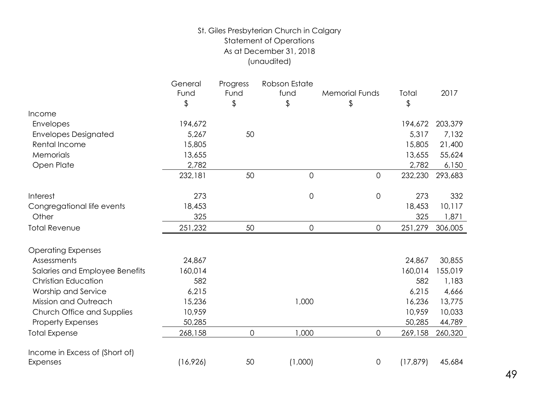#### St. Giles Presbyterian Church in Calgary Statement of Operations As at December 31, 2018 (unaudited)

|                                | General<br>Fund<br>\$ | Progress<br>Fund<br>\$ | Robson Estate<br>fund<br>\$ | <b>Memorial Funds</b><br>\$ | Total<br>\$ | 2017    |
|--------------------------------|-----------------------|------------------------|-----------------------------|-----------------------------|-------------|---------|
| Income                         |                       |                        |                             |                             |             |         |
| Envelopes                      | 194,672               |                        |                             |                             | 194,672     | 203,379 |
| <b>Envelopes Designated</b>    | 5,267                 | 50                     |                             |                             | 5,317       | 7,132   |
| Rental Income                  | 15,805                |                        |                             |                             | 15,805      | 21,400  |
| Memorials                      | 13,655                |                        |                             |                             | 13,655      | 55,624  |
| Open Plate                     | 2,782                 |                        |                             |                             | 2,782       | 6,150   |
|                                | 232,181               | 50                     | $\mathsf{O}\xspace$         | 0                           | 232,230     | 293,683 |
| Interest                       | 273                   |                        | $\mathbf 0$                 | 0                           | 273         | 332     |
| Congregational life events     | 18,453                |                        |                             |                             | 18,453      | 10,117  |
| Other                          | 325                   |                        |                             |                             | 325         | 1,871   |
| <b>Total Revenue</b>           | 251,232               | 50                     | $\mathsf{O}\xspace$         | 0                           | 251,279     | 306,005 |
| <b>Operating Expenses</b>      |                       |                        |                             |                             |             |         |
| Assessments                    | 24,867                |                        |                             |                             | 24,867      | 30,855  |
| Salaries and Employee Benefits | 160,014               |                        |                             |                             | 160,014     | 155,019 |
| <b>Christian Education</b>     | 582                   |                        |                             |                             | 582         | 1,183   |
| Worship and Service            | 6,215                 |                        |                             |                             | 6,215       | 4,666   |
| Mission and Outreach           | 15,236                |                        | 1,000                       |                             | 16,236      | 13,775  |
| Church Office and Supplies     | 10,959                |                        |                             |                             | 10,959      | 10,033  |
| <b>Property Expenses</b>       | 50,285                |                        |                             |                             | 50,285      | 44,789  |
| <b>Total Expense</b>           | 268,158               | 0                      | 1,000                       | $\mathsf{O}\xspace$         | 269,158     | 260,320 |
| Income in Excess of (Short of) |                       |                        |                             |                             |             |         |
| Expenses                       | (16, 926)             | 50                     | (1,000)                     | $\mathbf 0$                 | (17, 879)   | 45,684  |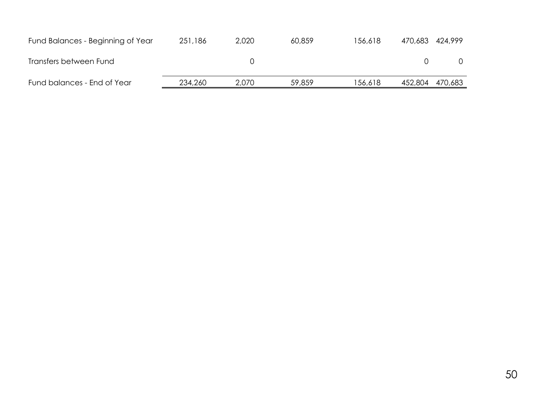| Fund Balances - Beginning of Year | 251,186 | 2,020 | 60,859 | 156.618 | 470,683 424,999 |  |
|-----------------------------------|---------|-------|--------|---------|-----------------|--|
| Transfers between Fund            |         |       |        |         |                 |  |
| Fund balances - End of Year       | 234,260 | 2,070 | 59,859 | 156,618 | 452,804 470,683 |  |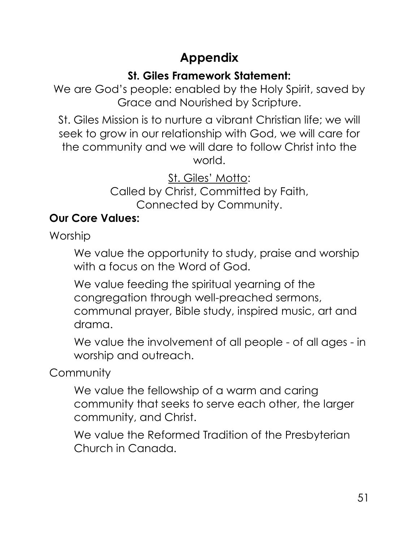### **Appendix**

#### **St. Giles Framework Statement:**

<span id="page-50-0"></span>We are God's people: enabled by the Holy Spirit, saved by Grace and Nourished by Scripture.

St. Giles Mission is to nurture a vibrant Christian life; we will seek to grow in our relationship with God, we will care for the community and we will dare to follow Christ into the world.

> St. Giles' Motto: Called by Christ, Committed by Faith, Connected by Community.

#### **Our Core Values:**

Worship

We value the opportunity to study, praise and worship with a focus on the Word of God.

We value feeding the spiritual yearning of the congregation through well-preached sermons, communal prayer, Bible study, inspired music, art and drama.

We value the involvement of all people - of all ages - in worship and outreach.

**Community** 

We value the fellowship of a warm and caring community that seeks to serve each other, the larger community, and Christ.

We value the Reformed Tradition of the Presbyterian Church in Canada.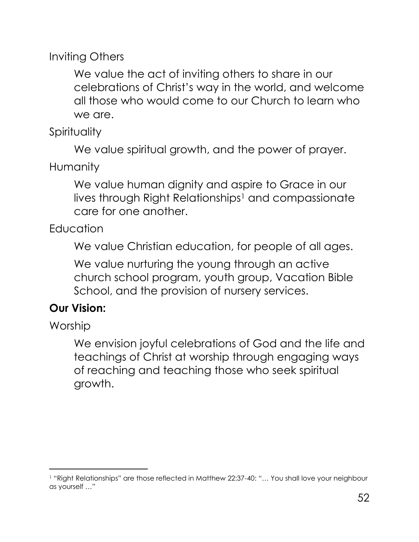Inviting Others

We value the act of inviting others to share in our celebrations of Christ's way in the world, and welcome all those who would come to our Church to learn who we are.

**Spirituality** 

We value spiritual growth, and the power of prayer.

**Humanity** 

We value human dignity and aspire to Grace in our lives through Right Relationships<sup>1</sup> and compassionate care for one another.

Education

We value Christian education, for people of all ages.

We value nurturing the young through an active church school program, youth group, Vacation Bible School, and the provision of nursery services.

#### **Our Vision:**

**Worship** 

We envision joyful celebrations of God and the life and teachings of Christ at worship through engaging ways of reaching and teaching those who seek spiritual growth.

<sup>1</sup> "Right Relationships" are those reflected in Matthew 22:37-40: "… You shall love your neighbour as yourself …"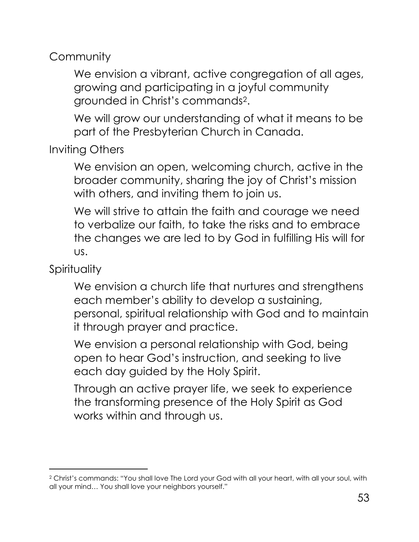**Community** 

We envision a vibrant, active congregation of all ages, growing and participating in a joyful community grounded in Christ's commands2.

We will grow our understanding of what it means to be part of the Presbyterian Church in Canada.

Inviting Others

We envision an open, welcoming church, active in the broader community, sharing the joy of Christ's mission with others, and inviting them to join us.

We will strive to attain the faith and courage we need to verbalize our faith, to take the risks and to embrace the changes we are led to by God in fulfilling His will for us.

**Spirituality** 

We envision a church life that nurtures and strengthens each member's ability to develop a sustaining, personal, spiritual relationship with God and to maintain it through prayer and practice.

We envision a personal relationship with God, being open to hear God's instruction, and seeking to live each day guided by the Holy Spirit.

Through an active prayer life, we seek to experience the transforming presence of the Holy Spirit as God works within and through us.

<sup>2</sup> Christ's commands: "You shall love The Lord your God with all your heart, with all your soul, with all your mind… You shall love your neighbors yourself."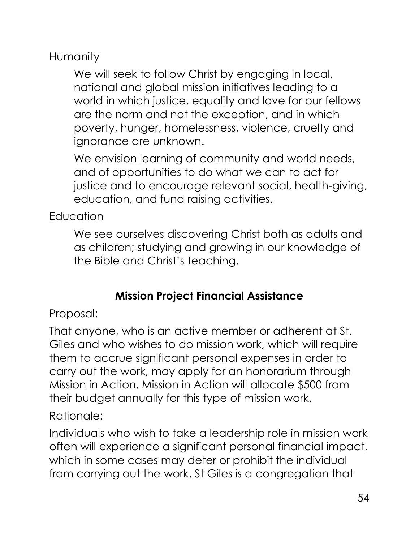**Humanity** 

We will seek to follow Christ by engaging in local, national and global mission initiatives leading to a world in which justice, equality and love for our fellows are the norm and not the exception, and in which poverty, hunger, homelessness, violence, cruelty and ignorance are unknown.

We envision learning of community and world needs, and of opportunities to do what we can to act for justice and to encourage relevant social, health-giving, education, and fund raising activities.

Education

We see ourselves discovering Christ both as adults and as children; studying and growing in our knowledge of the Bible and Christ's teaching.

#### **Mission Project Financial Assistance**

Proposal:

That anyone, who is an active member or adherent at St. Giles and who wishes to do mission work, which will require them to accrue significant personal expenses in order to carry out the work, may apply for an honorarium through Mission in Action. Mission in Action will allocate \$500 from their budget annually for this type of mission work.

Rationale:

Individuals who wish to take a leadership role in mission work often will experience a significant personal financial impact, which in some cases may deter or prohibit the individual from carrying out the work. St Giles is a congregation that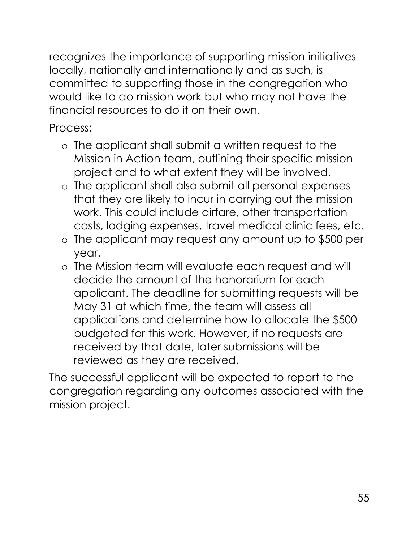recognizes the importance of supporting mission initiatives locally, nationally and internationally and as such, is committed to supporting those in the congregation who would like to do mission work but who may not have the financial resources to do it on their own.

Process:

- o The applicant shall submit a written request to the Mission in Action team, outlining their specific mission project and to what extent they will be involved.
- o The applicant shall also submit all personal expenses that they are likely to incur in carrying out the mission work. This could include airfare, other transportation costs, lodging expenses, travel medical clinic fees, etc.
- o The applicant may request any amount up to \$500 per year.
- o The Mission team will evaluate each request and will decide the amount of the honorarium for each applicant. The deadline for submitting requests will be May 31 at which time, the team will assess all applications and determine how to allocate the \$500 budgeted for this work. However, if no requests are received by that date, later submissions will be reviewed as they are received.

The successful applicant will be expected to report to the congregation regarding any outcomes associated with the mission project.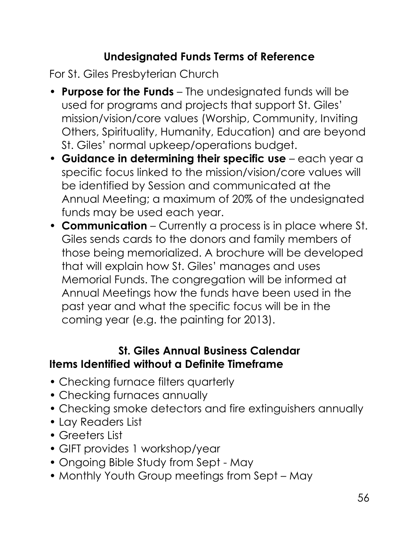#### **Undesignated Funds Terms of Reference**

For St. Giles Presbyterian Church

- **Purpose for the Funds**  The undesignated funds will be used for programs and projects that support St. Giles' mission/vision/core values (Worship, Community, Inviting Others, Spirituality, Humanity, Education) and are beyond St. Giles' normal upkeep/operations budget.
- **Guidance in determining their specific use**  each year a specific focus linked to the mission/vision/core values will be identified by Session and communicated at the Annual Meeting; a maximum of 20% of the undesignated funds may be used each year.
- **Communication**  Currently a process is in place where St. Giles sends cards to the donors and family members of those being memorialized. A brochure will be developed that will explain how St. Giles' manages and uses Memorial Funds. The congregation will be informed at Annual Meetings how the funds have been used in the past year and what the specific focus will be in the coming year (e.g. the painting for 2013).

#### **St. Giles Annual Business Calendar Items Identified without a Definite Timeframe**

- Checking furnace filters quarterly
- Checking furnaces annually
- Checking smoke detectors and fire extinguishers annually
- Lay Readers List
- Greeters List
- GIFT provides 1 workshop/year
- Ongoing Bible Study from Sept May
- Monthly Youth Group meetings from Sept May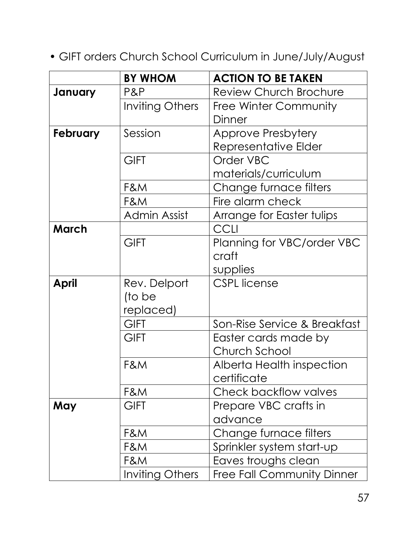• GIFT orders Church School Curriculum in June/July/August

|              | <b>BY WHOM</b>         | <b>ACTION TO BE TAKEN</b>         |
|--------------|------------------------|-----------------------------------|
| January      | P&P                    | <b>Review Church Brochure</b>     |
|              | <b>Inviting Others</b> | <b>Free Winter Community</b>      |
|              |                        | Dinner                            |
| February     | Session                | <b>Approve Presbytery</b>         |
|              |                        | Representative Elder              |
|              | <b>GIFT</b>            | Order VBC                         |
|              |                        | materials/curriculum              |
|              | F&M                    | Change furnace filters            |
|              | F&M                    | Fire alarm check                  |
|              | Admin Assist           | Arrange for Easter tulips         |
| <b>March</b> |                        | CCLI                              |
|              | <b>GIFT</b>            | Planning for VBC/order VBC        |
|              |                        | craft                             |
|              |                        | supplies                          |
| <b>April</b> | Rev. Delport           | <b>CSPL</b> license               |
|              | (to be                 |                                   |
|              | replaced)              |                                   |
|              | <b>GIFT</b>            | Son-Rise Service & Breakfast      |
|              | <b>GIFT</b>            | Easter cards made by              |
|              |                        | Church School                     |
|              | F&M                    | Alberta Health inspection         |
|              |                        | certificate                       |
|              | F&M                    | Check backflow valves             |
| May          | <b>GIFT</b>            | Prepare VBC crafts in             |
|              |                        | advance                           |
|              | F&M                    | Change furnace filters            |
|              | F&M                    | Sprinkler system start-up         |
|              | F&M                    | Eaves troughs clean               |
|              | Inviting Others        | <b>Free Fall Community Dinner</b> |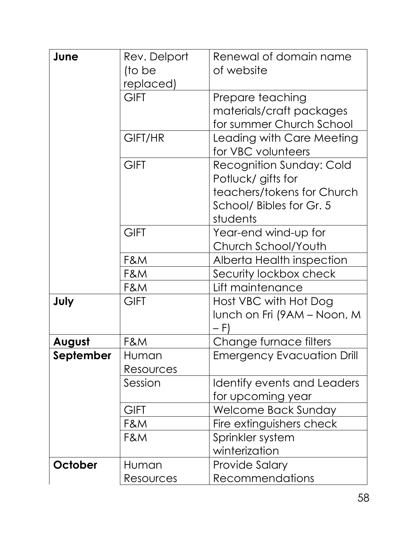| June      | Rev. Delport<br>(to be | Renewal of domain name<br>of website                               |
|-----------|------------------------|--------------------------------------------------------------------|
|           | replaced)              |                                                                    |
|           | <b>GIFT</b>            | Prepare teaching                                                   |
|           |                        | materials/craft packages                                           |
|           |                        | for summer Church School                                           |
|           | GIFT/HR                | Leading with Care Meeting<br>for VBC volunteers                    |
|           | <b>GIFT</b>            | Recognition Sunday: Cold<br>Potluck/ gifts for                     |
|           |                        | teachers/tokens for Church<br>School/ Bibles for Gr. 5<br>students |
|           | <b>GIFT</b>            | Year-end wind-up for                                               |
|           |                        | Church School/Youth                                                |
|           | F&M                    | Alberta Health inspection                                          |
|           | F&M                    | Security lockbox check                                             |
|           | F&M                    | Lift maintenance                                                   |
| July      | <b>GIFT</b>            | Host VBC with Hot Dog                                              |
|           |                        | lunch on Fri (9AM – Noon, M<br>– F)                                |
| August    | F&M                    | Change furnace filters                                             |
| September | Human                  | <b>Emergency Evacuation Drill</b>                                  |
|           | Resources              |                                                                    |
|           | Session                | Identify events and Leaders                                        |
|           |                        | for upcoming year                                                  |
|           | GIFT                   | Welcome Back Sunday                                                |
|           | F&M                    | Fire extinguishers check                                           |
|           | F&M                    | Sprinkler system                                                   |
|           |                        | winterization                                                      |
| October   | Human                  | <b>Provide Salary</b>                                              |
|           | Resources              | <b>Recommendations</b>                                             |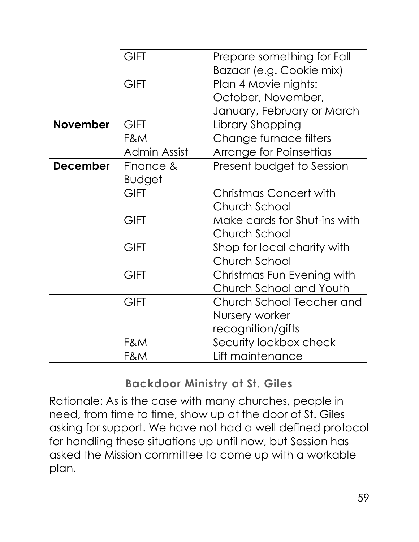|                 | <b>GIFT</b>         | Prepare something for Fall<br>Bazaar (e.g. Cookie mix) |
|-----------------|---------------------|--------------------------------------------------------|
|                 |                     |                                                        |
|                 | <b>GIFT</b>         | Plan 4 Movie nights:                                   |
|                 |                     | October, November,                                     |
|                 |                     | January, February or March                             |
| <b>November</b> | <b>GIFT</b>         | Library Shopping                                       |
|                 | F&M                 | Change furnace filters                                 |
|                 | <b>Admin Assist</b> | <b>Arrange for Poinsettias</b>                         |
| <b>December</b> | Finance &           | Present budget to Session                              |
|                 | <b>Budget</b>       |                                                        |
|                 | <b>GIFT</b>         | <b>Christmas Concert with</b>                          |
|                 |                     | Church School                                          |
|                 | <b>GIFT</b>         | Make cards for Shut-ins with                           |
|                 |                     | Church School                                          |
|                 | <b>GIFT</b>         | Shop for local charity with                            |
|                 |                     | Church School                                          |
|                 | <b>GIFT</b>         | Christmas Fun Evening with                             |
|                 |                     | Church School and Youth                                |
|                 | <b>GIFT</b>         | Church School Teacher and                              |
|                 |                     | Nursery worker                                         |
|                 |                     | recognition/gifts                                      |
|                 | F&M                 | Security lockbox check                                 |
|                 | F&M                 | Lift maintenance                                       |

#### **Backdoor Ministry at St. Giles**

Rationale: As is the case with many churches, people in need, from time to time, show up at the door of St. Giles asking for support. We have not had a well defined protocol for handling these situations up until now, but Session has asked the Mission committee to come up with a workable plan.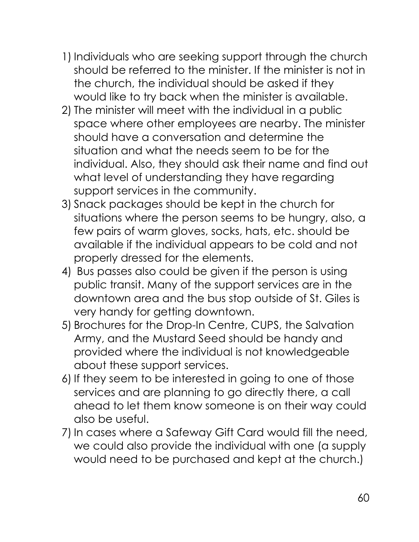- 1) Individuals who are seeking support through the church should be referred to the minister. If the minister is not in the church, the individual should be asked if they would like to try back when the minister is available.
- 2) The minister will meet with the individual in a public space where other employees are nearby. The minister should have a conversation and determine the situation and what the needs seem to be for the individual. Also, they should ask their name and find out what level of understanding they have regarding support services in the community.
- 3) Snack packages should be kept in the church for situations where the person seems to be hungry, also, a few pairs of warm gloves, socks, hats, etc. should be available if the individual appears to be cold and not properly dressed for the elements.
- 4) Bus passes also could be given if the person is using public transit. Many of the support services are in the downtown area and the bus stop outside of St. Giles is very handy for getting downtown.
- 5) Brochures for the Drop-In Centre, CUPS, the Salvation Army, and the Mustard Seed should be handy and provided where the individual is not knowledgeable about these support services.
- 6) If they seem to be interested in going to one of those services and are planning to go directly there, a call ahead to let them know someone is on their way could also be useful.
- 7) In cases where a Safeway Gift Card would fill the need, we could also provide the individual with one (a supply would need to be purchased and kept at the church.)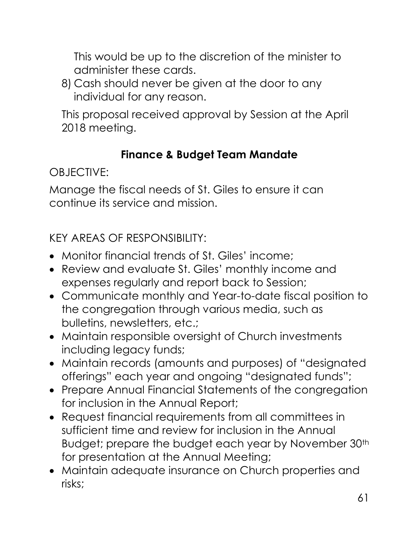This would be up to the discretion of the minister to administer these cards.

8) Cash should never be given at the door to any individual for any reason.

This proposal received approval by Session at the April 2018 meeting.

#### **Finance & Budget Team Mandate**

OBJECTIVE:

Manage the fiscal needs of St. Giles to ensure it can continue its service and mission.

KEY AREAS OF RESPONSIBILITY:

- Monitor financial trends of St. Giles' income;
- Review and evaluate St. Giles' monthly income and expenses regularly and report back to Session;
- Communicate monthly and Year-to-date fiscal position to the congregation through various media, such as bulletins, newsletters, etc.;
- Maintain responsible oversight of Church investments including legacy funds;
- Maintain records (amounts and purposes) of "designated offerings" each year and ongoing "designated funds";
- Prepare Annual Financial Statements of the congregation for inclusion in the Annual Report;
- Request financial requirements from all committees in sufficient time and review for inclusion in the Annual Budget; prepare the budget each year by November 30<sup>th</sup> for presentation at the Annual Meeting;
- Maintain adequate insurance on Church properties and risks;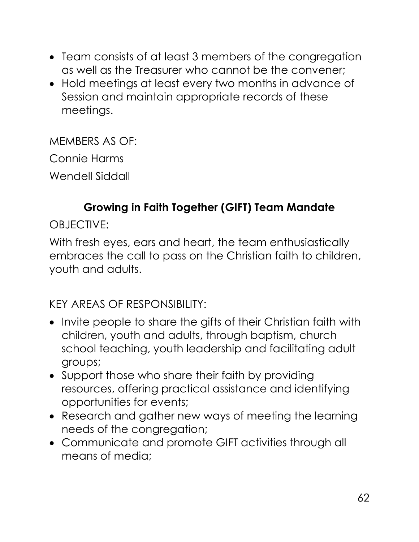- Team consists of at least 3 members of the congregation as well as the Treasurer who cannot be the convener;
- Hold meetings at least every two months in advance of Session and maintain appropriate records of these meetings.

MEMBERS AS OF: Connie Harms Wendell Siddall

#### **Growing in Faith Together (GIFT) Team Mandate**

OBJECTIVE:

With fresh eyes, ears and heart, the team enthusiastically embraces the call to pass on the Christian faith to children, youth and adults.

KEY AREAS OF RESPONSIBILITY:

- Invite people to share the gifts of their Christian faith with children, youth and adults, through baptism, church school teaching, youth leadership and facilitating adult groups;
- Support those who share their faith by providing resources, offering practical assistance and identifying opportunities for events;
- Research and gather new ways of meeting the learning needs of the congregation;
- Communicate and promote GIFT activities through all means of media;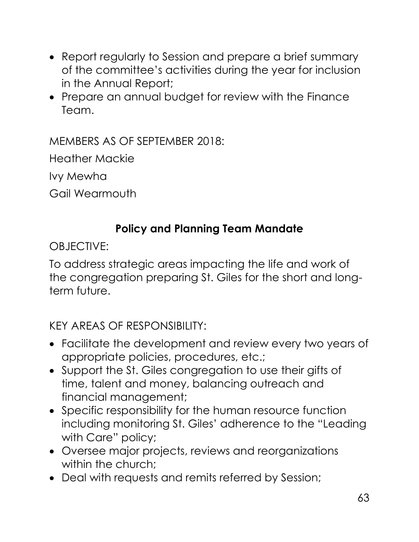- Report regularly to Session and prepare a brief summary of the committee's activities during the year for inclusion in the Annual Report;
- Prepare an annual budget for review with the Finance Team.

MEMBERS AS OF SEPTEMBER 2018:

Heather Mackie

Ivy Mewha

Gail Wearmouth

#### **Policy and Planning Team Mandate**

OBJECTIVE:

To address strategic areas impacting the life and work of the congregation preparing St. Giles for the short and longterm future.

KEY AREAS OF RESPONSIBILITY:

- Facilitate the development and review every two years of appropriate policies, procedures, etc.;
- Support the St. Giles congregation to use their gifts of time, talent and money, balancing outreach and financial management;
- Specific responsibility for the human resource function including monitoring St. Giles' adherence to the "Leading with Care" policy;
- Oversee major projects, reviews and reorganizations within the church:
- Deal with requests and remits referred by Session;